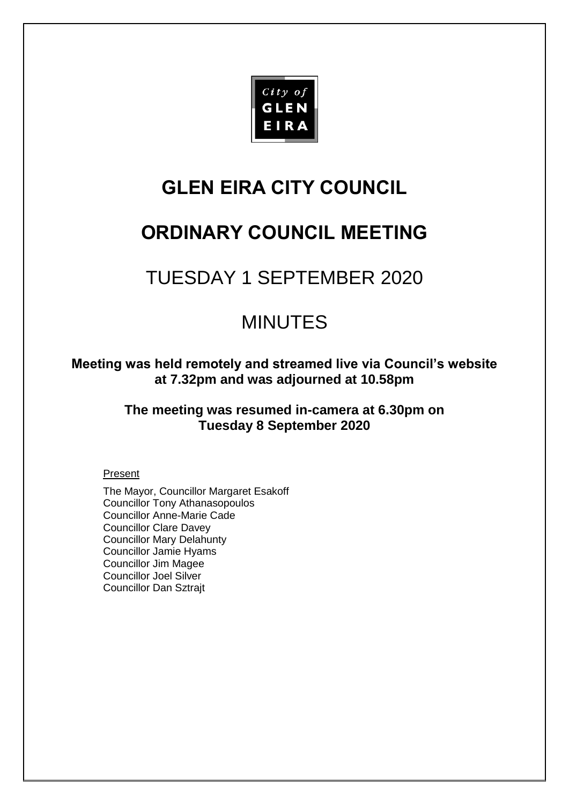

# **GLEN EIRA CITY COUNCIL**

# **ORDINARY COUNCIL MEETING**

# TUESDAY 1 SEPTEMBER 2020

# MINUTES

**Meeting was held remotely and streamed live via Council's website at 7.32pm and was adjourned at 10.58pm**

> **The meeting was resumed in-camera at 6.30pm on Tuesday 8 September 2020**

### Present

The Mayor, Councillor Margaret Esakoff Councillor Tony Athanasopoulos Councillor Anne-Marie Cade Councillor Clare Davey Councillor Mary Delahunty Councillor Jamie Hyams Councillor Jim Magee Councillor Joel Silver Councillor Dan Sztrajt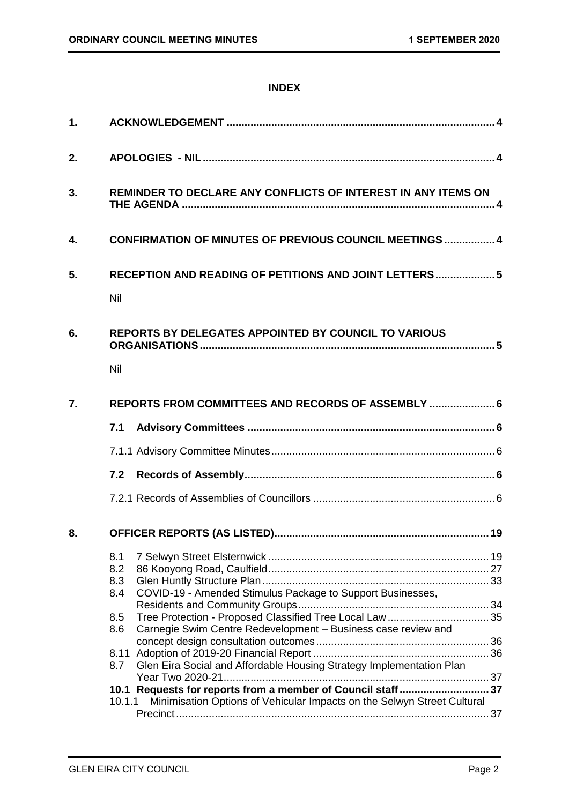### **INDEX**

| 1. |                                                                                                                                                  |  |  |  |
|----|--------------------------------------------------------------------------------------------------------------------------------------------------|--|--|--|
| 2. |                                                                                                                                                  |  |  |  |
| 3. | REMINDER TO DECLARE ANY CONFLICTS OF INTEREST IN ANY ITEMS ON                                                                                    |  |  |  |
| 4. | <b>CONFIRMATION OF MINUTES OF PREVIOUS COUNCIL MEETINGS  4</b>                                                                                   |  |  |  |
| 5. | RECEPTION AND READING OF PETITIONS AND JOINT LETTERS 5<br>Nil                                                                                    |  |  |  |
| 6. | <b>REPORTS BY DELEGATES APPOINTED BY COUNCIL TO VARIOUS</b><br>Nil                                                                               |  |  |  |
| 7. | REPORTS FROM COMMITTEES AND RECORDS OF ASSEMBLY  6                                                                                               |  |  |  |
|    | 7.1                                                                                                                                              |  |  |  |
|    |                                                                                                                                                  |  |  |  |
|    |                                                                                                                                                  |  |  |  |
|    |                                                                                                                                                  |  |  |  |
| 8. |                                                                                                                                                  |  |  |  |
|    | 8.1<br>8.2<br>8.3<br>COVID-19 - Amended Stimulus Package to Support Businesses,<br>8.4                                                           |  |  |  |
|    | Tree Protection - Proposed Classified Tree Local Law  35<br>8.5<br>Carnegie Swim Centre Redevelopment - Business case review and<br>8.6          |  |  |  |
|    | 8.11<br>Glen Eira Social and Affordable Housing Strategy Implementation Plan<br>8.7                                                              |  |  |  |
|    | 10.1 Requests for reports from a member of Council staff 37<br>Minimisation Options of Vehicular Impacts on the Selwyn Street Cultural<br>10.1.1 |  |  |  |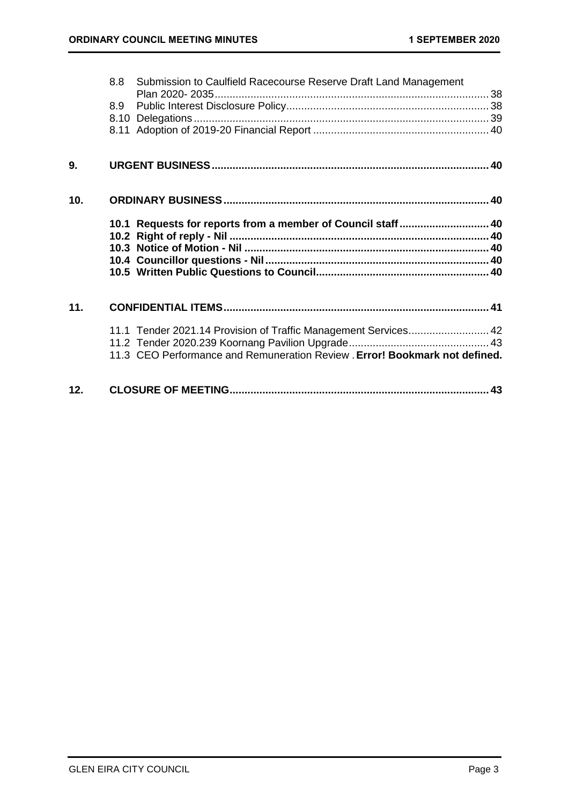|     | 8.8 | Submission to Caulfield Racecourse Reserve Draft Land Management            |  |
|-----|-----|-----------------------------------------------------------------------------|--|
|     |     |                                                                             |  |
|     | 8.9 |                                                                             |  |
|     |     |                                                                             |  |
|     |     |                                                                             |  |
| 9.  |     |                                                                             |  |
| 10. |     |                                                                             |  |
|     |     | 10.1 Requests for reports from a member of Council staff 40                 |  |
|     |     |                                                                             |  |
|     |     |                                                                             |  |
|     |     |                                                                             |  |
|     |     |                                                                             |  |
| 11. |     |                                                                             |  |
|     |     | 11.1 Tender 2021.14 Provision of Traffic Management Services 42             |  |
|     |     |                                                                             |  |
|     |     | 11.3 CEO Performance and Remuneration Review . Error! Bookmark not defined. |  |
| 12. |     |                                                                             |  |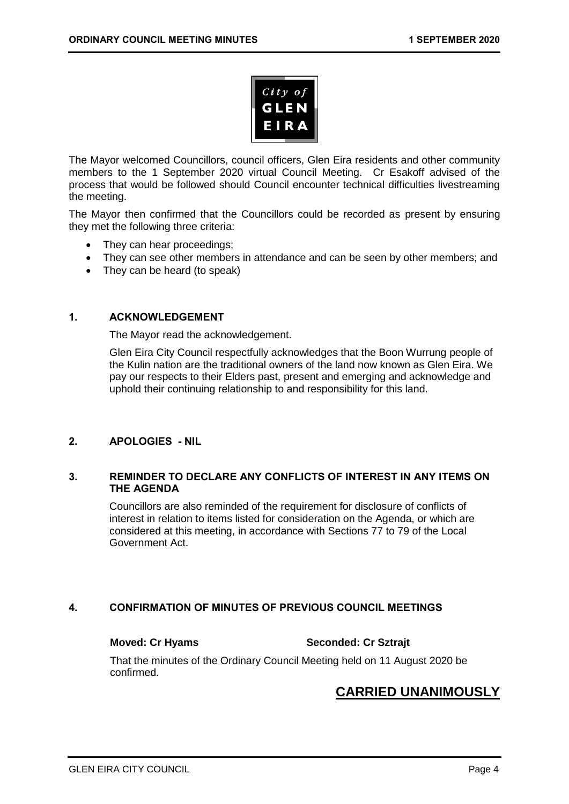

The Mayor welcomed Councillors, council officers, Glen Eira residents and other community members to the 1 September 2020 virtual Council Meeting. Cr Esakoff advised of the process that would be followed should Council encounter technical difficulties livestreaming the meeting.

The Mayor then confirmed that the Councillors could be recorded as present by ensuring they met the following three criteria:

- They can hear proceedings;
- They can see other members in attendance and can be seen by other members; and
- <span id="page-3-0"></span>• They can be heard (to speak)

### **1. ACKNOWLEDGEMENT**

The Mayor read the acknowledgement.

Glen Eira City Council respectfully acknowledges that the Boon Wurrung people of the Kulin nation are the traditional owners of the land now known as Glen Eira. We pay our respects to their Elders past, present and emerging and acknowledge and uphold their continuing relationship to and responsibility for this land.

### <span id="page-3-2"></span><span id="page-3-1"></span>**2. APOLOGIES - NIL**

### **3. REMINDER TO DECLARE ANY CONFLICTS OF INTEREST IN ANY ITEMS ON THE AGENDA**

Councillors are also reminded of the requirement for disclosure of conflicts of interest in relation to items listed for consideration on the Agenda, or which are considered at this meeting, in accordance with Sections 77 to 79 of the Local Government Act.

### <span id="page-3-3"></span>**4. CONFIRMATION OF MINUTES OF PREVIOUS COUNCIL MEETINGS**

**Moved: Cr Hyams Seconded: Cr Sztrajt**

That the minutes of the Ordinary Council Meeting held on 11 August 2020 be confirmed.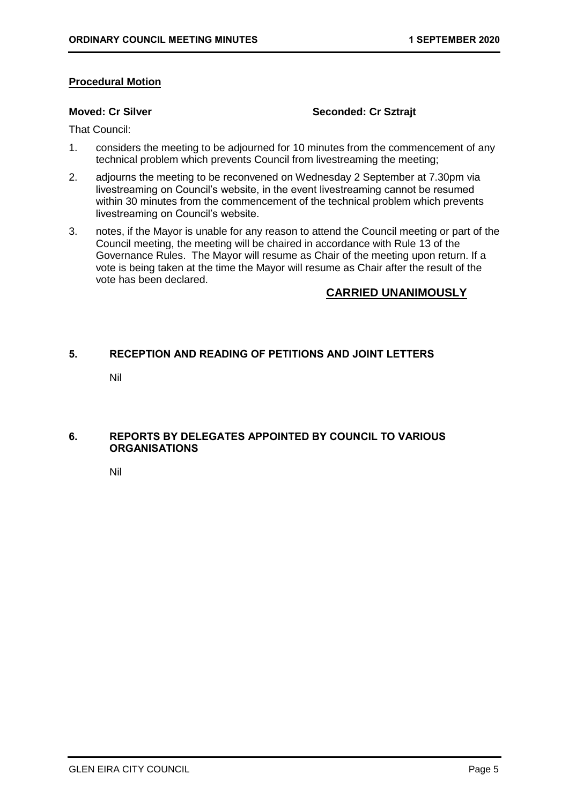### **Procedural Motion**

### **Moved: Cr Silver Seconded: Cr Sztrait**

That Council:

- 1. considers the meeting to be adjourned for 10 minutes from the commencement of any technical problem which prevents Council from livestreaming the meeting;
- 2. adjourns the meeting to be reconvened on Wednesday 2 September at 7.30pm via livestreaming on Council's website, in the event livestreaming cannot be resumed within 30 minutes from the commencement of the technical problem which prevents livestreaming on Council's website.
- 3. notes, if the Mayor is unable for any reason to attend the Council meeting or part of the Council meeting, the meeting will be chaired in accordance with Rule 13 of the Governance Rules. The Mayor will resume as Chair of the meeting upon return. If a vote is being taken at the time the Mayor will resume as Chair after the result of the vote has been declared.

### **CARRIED UNANIMOUSLY**

### <span id="page-4-1"></span><span id="page-4-0"></span>**5. RECEPTION AND READING OF PETITIONS AND JOINT LETTERS**

Nil

### <span id="page-4-3"></span><span id="page-4-2"></span>**6. REPORTS BY DELEGATES APPOINTED BY COUNCIL TO VARIOUS ORGANISATIONS**

Nil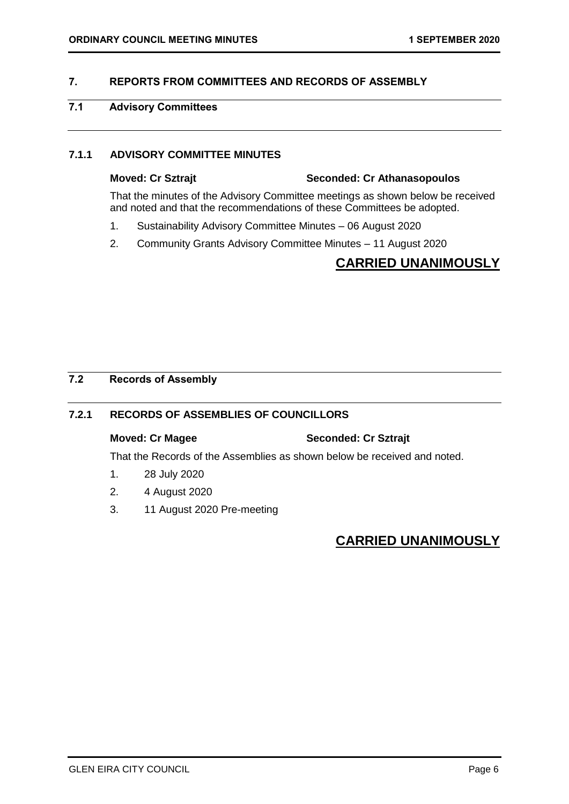### <span id="page-5-2"></span><span id="page-5-0"></span>**7. REPORTS FROM COMMITTEES AND RECORDS OF ASSEMBLY**

### <span id="page-5-1"></span>**7.1 Advisory Committees**

### **7.1.1 ADVISORY COMMITTEE MINUTES**

# **Moved: Cr Sztrajt Seconded: Cr Athanasopoulos**

That the minutes of the Advisory Committee meetings as shown below be received and noted and that the recommendations of these Committees be adopted.

- 1. Sustainability Advisory Committee Minutes 06 August 2020
- 2. Community Grants Advisory Committee Minutes 11 August 2020

# **CARRIED UNANIMOUSLY**

### <span id="page-5-3"></span>**7.2 Records of Assembly**

### **7.2.1 RECORDS OF ASSEMBLIES OF COUNCILLORS**

### **Moved: Cr Magee Seconded: Cr Sztrajt**

That the Records of the Assemblies as shown below be received and noted.

- 1. 28 July 2020
- 2. 4 August 2020
- 3. 11 August 2020 Pre-meeting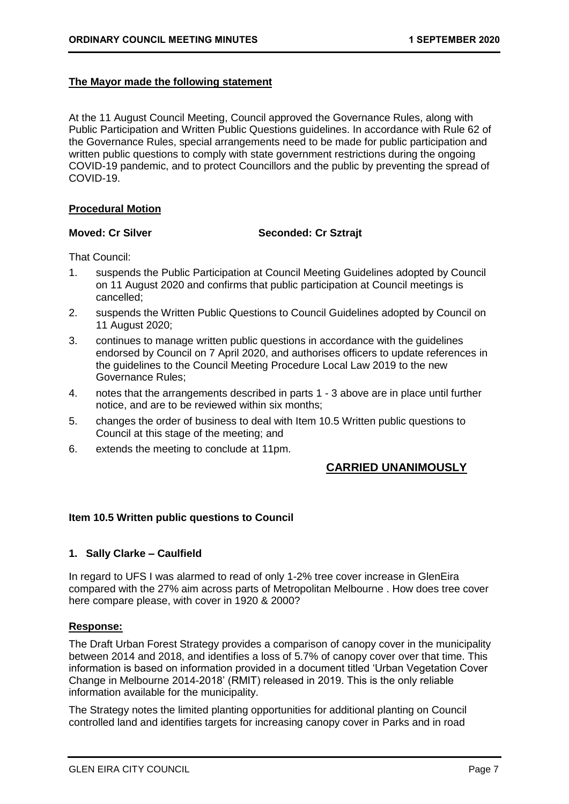### **The Mayor made the following statement**

At the 11 August Council Meeting, Council approved the Governance Rules, along with Public Participation and Written Public Questions guidelines. In accordance with Rule 62 of the Governance Rules, special arrangements need to be made for public participation and written public questions to comply with state government restrictions during the ongoing COVID-19 pandemic, and to protect Councillors and the public by preventing the spread of COVID-19.

### **Procedural Motion**

### **Moved: Cr Silver Seconded: Cr Sztrait**

That Council:

- 1. suspends the Public Participation at Council Meeting Guidelines adopted by Council on 11 August 2020 and confirms that public participation at Council meetings is cancelled;
- 2. suspends the Written Public Questions to Council Guidelines adopted by Council on 11 August 2020;
- 3. continues to manage written public questions in accordance with the guidelines endorsed by Council on 7 April 2020, and authorises officers to update references in the guidelines to the Council Meeting Procedure Local Law 2019 to the new Governance Rules;
- 4. notes that the arrangements described in parts 1 3 above are in place until further notice, and are to be reviewed within six months;
- 5. changes the order of business to deal with Item 10.5 Written public questions to Council at this stage of the meeting; and
- 6. extends the meeting to conclude at 11pm.

### **CARRIED UNANIMOUSLY**

### **Item 10.5 Written public questions to Council**

### **1. Sally Clarke – Caulfield**

In regard to UFS I was alarmed to read of only 1-2% tree cover increase in GlenEira compared with the 27% aim across parts of Metropolitan Melbourne . How does tree cover here compare please, with cover in 1920 & 2000?

### **Response:**

The Draft Urban Forest Strategy provides a comparison of canopy cover in the municipality between 2014 and 2018, and identifies a loss of 5.7% of canopy cover over that time. This information is based on information provided in a document titled 'Urban Vegetation Cover Change in Melbourne 2014-2018' (RMIT) released in 2019. This is the only reliable information available for the municipality.

The Strategy notes the limited planting opportunities for additional planting on Council controlled land and identifies targets for increasing canopy cover in Parks and in road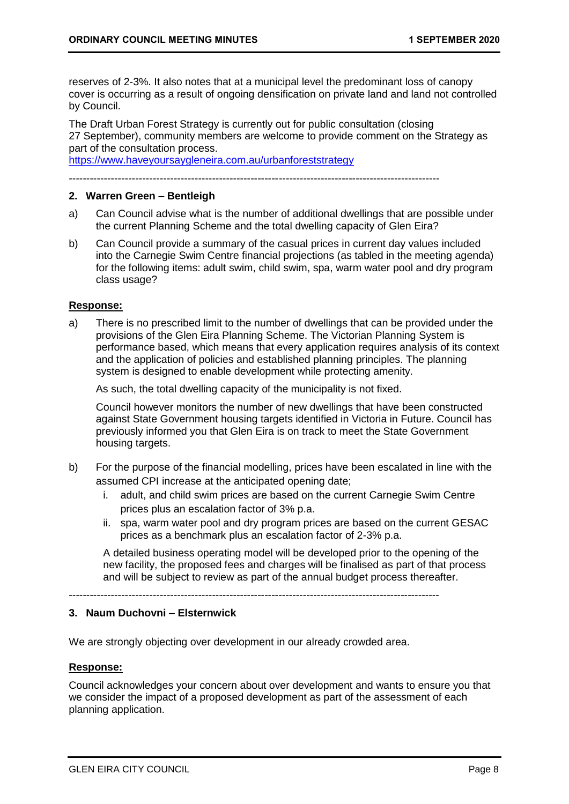reserves of 2-3%. It also notes that at a municipal level the predominant loss of canopy cover is occurring as a result of ongoing densification on private land and land not controlled by Council.

The Draft Urban Forest Strategy is currently out for public consultation (closing 27 September), community members are welcome to provide comment on the Strategy as part of the consultation process.

<https://www.haveyoursaygleneira.com.au/urbanforeststrategy>

----------------------------------------------------------------------------------------------------------

### **2. Warren Green – Bentleigh**

- a) Can Council advise what is the number of additional dwellings that are possible under the current Planning Scheme and the total dwelling capacity of Glen Eira?
- b) Can Council provide a summary of the casual prices in current day values included into the Carnegie Swim Centre financial projections (as tabled in the meeting agenda) for the following items: adult swim, child swim, spa, warm water pool and dry program class usage?

### **Response:**

a) There is no prescribed limit to the number of dwellings that can be provided under the provisions of the Glen Eira Planning Scheme. The Victorian Planning System is performance based, which means that every application requires analysis of its context and the application of policies and established planning principles. The planning system is designed to enable development while protecting amenity.

As such, the total dwelling capacity of the municipality is not fixed.

Council however monitors the number of new dwellings that have been constructed against State Government housing targets identified in Victoria in Future. Council has previously informed you that Glen Eira is on track to meet the State Government housing targets.

- b) For the purpose of the financial modelling, prices have been escalated in line with the assumed CPI increase at the anticipated opening date;
	- i. adult, and child swim prices are based on the current Carnegie Swim Centre prices plus an escalation factor of 3% p.a.
	- ii. spa, warm water pool and dry program prices are based on the current GESAC prices as a benchmark plus an escalation factor of 2-3% p.a.

A detailed business operating model will be developed prior to the opening of the new facility, the proposed fees and charges will be finalised as part of that process and will be subject to review as part of the annual budget process thereafter.

----------------------------------------------------------------------------------------------------------

### **3. Naum Duchovni – Elsternwick**

We are strongly objecting over development in our already crowded area.

### **Response:**

Council acknowledges your concern about over development and wants to ensure you that we consider the impact of a proposed development as part of the assessment of each planning application.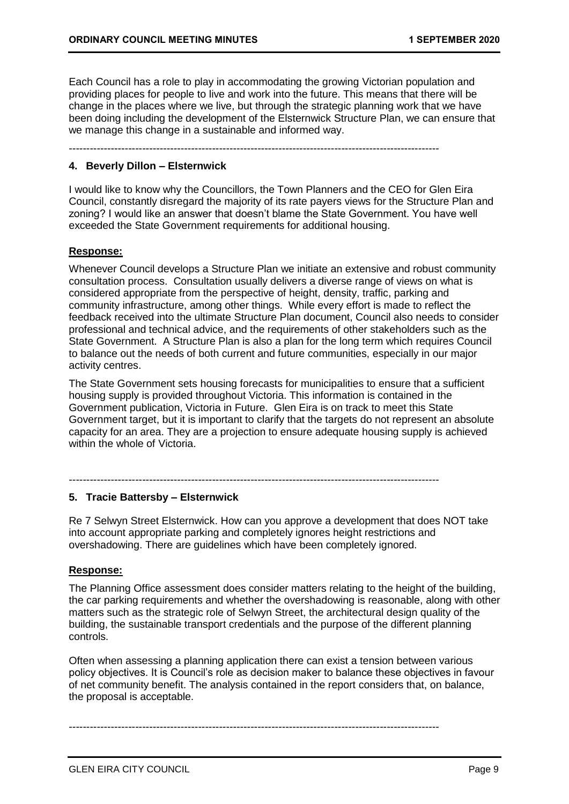Each Council has a role to play in accommodating the growing Victorian population and providing places for people to live and work into the future. This means that there will be change in the places where we live, but through the strategic planning work that we have been doing including the development of the Elsternwick Structure Plan, we can ensure that we manage this change in a sustainable and informed way.

----------------------------------------------------------------------------------------------------------

### **4. Beverly Dillon – Elsternwick**

I would like to know why the Councillors, the Town Planners and the CEO for Glen Eira Council, constantly disregard the majority of its rate payers views for the Structure Plan and zoning? I would like an answer that doesn't blame the State Government. You have well exceeded the State Government requirements for additional housing.

### **Response:**

Whenever Council develops a Structure Plan we initiate an extensive and robust community consultation process. Consultation usually delivers a diverse range of views on what is considered appropriate from the perspective of height, density, traffic, parking and community infrastructure, among other things. While every effort is made to reflect the feedback received into the ultimate Structure Plan document, Council also needs to consider professional and technical advice, and the requirements of other stakeholders such as the State Government. A Structure Plan is also a plan for the long term which requires Council to balance out the needs of both current and future communities, especially in our major activity centres.

The State Government sets housing forecasts for municipalities to ensure that a sufficient housing supply is provided throughout Victoria. This information is contained in the Government publication, Victoria in Future. Glen Eira is on track to meet this State Government target, but it is important to clarify that the targets do not represent an absolute capacity for an area. They are a projection to ensure adequate housing supply is achieved within the whole of Victoria.

### ----------------------------------------------------------------------------------------------------------

### **5. Tracie Battersby – Elsternwick**

Re 7 Selwyn Street Elsternwick. How can you approve a development that does NOT take into account appropriate parking and completely ignores height restrictions and overshadowing. There are guidelines which have been completely ignored.

### **Response:**

The Planning Office assessment does consider matters relating to the height of the building, the car parking requirements and whether the overshadowing is reasonable, along with other matters such as the strategic role of Selwyn Street, the architectural design quality of the building, the sustainable transport credentials and the purpose of the different planning controls.

Often when assessing a planning application there can exist a tension between various policy objectives. It is Council's role as decision maker to balance these objectives in favour of net community benefit. The analysis contained in the report considers that, on balance, the proposal is acceptable.

----------------------------------------------------------------------------------------------------------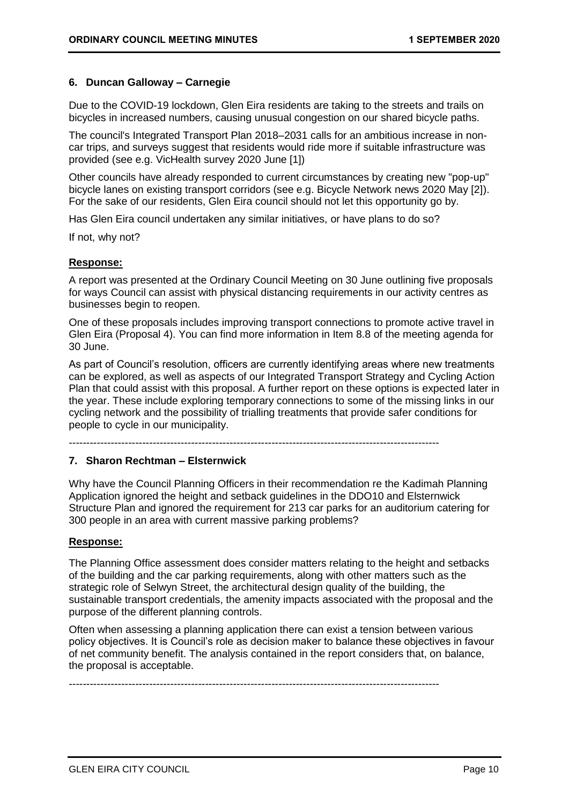### **6. Duncan Galloway – Carnegie**

Due to the COVID-19 lockdown, Glen Eira residents are taking to the streets and trails on bicycles in increased numbers, causing unusual congestion on our shared bicycle paths.

The council's Integrated Transport Plan 2018–2031 calls for an ambitious increase in noncar trips, and surveys suggest that residents would ride more if suitable infrastructure was provided (see e.g. VicHealth survey 2020 June [1])

Other councils have already responded to current circumstances by creating new "pop-up" bicycle lanes on existing transport corridors (see e.g. Bicycle Network news 2020 May [2]). For the sake of our residents, Glen Eira council should not let this opportunity go by.

Has Glen Eira council undertaken any similar initiatives, or have plans to do so?

If not, why not?

### **Response:**

A report was presented at the Ordinary Council Meeting on 30 June outlining five proposals for ways Council can assist with physical distancing requirements in our activity centres as businesses begin to reopen.

One of these proposals includes improving transport connections to promote active travel in Glen Eira (Proposal 4). You can find more information in Item 8.8 of the meeting agenda for 30 June.

As part of Council's resolution, officers are currently identifying areas where new treatments can be explored, as well as aspects of our Integrated Transport Strategy and Cycling Action Plan that could assist with this proposal. A further report on these options is expected later in the year. These include exploring temporary connections to some of the missing links in our cycling network and the possibility of trialling treatments that provide safer conditions for people to cycle in our municipality.

----------------------------------------------------------------------------------------------------------

### **7. Sharon Rechtman – Elsternwick**

Why have the Council Planning Officers in their recommendation re the Kadimah Planning Application ignored the height and setback guidelines in the DDO10 and Elsternwick Structure Plan and ignored the requirement for 213 car parks for an auditorium catering for 300 people in an area with current massive parking problems?

### **Response:**

The Planning Office assessment does consider matters relating to the height and setbacks of the building and the car parking requirements, along with other matters such as the strategic role of Selwyn Street, the architectural design quality of the building, the sustainable transport credentials, the amenity impacts associated with the proposal and the purpose of the different planning controls.

Often when assessing a planning application there can exist a tension between various policy objectives. It is Council's role as decision maker to balance these objectives in favour of net community benefit. The analysis contained in the report considers that, on balance, the proposal is acceptable.

----------------------------------------------------------------------------------------------------------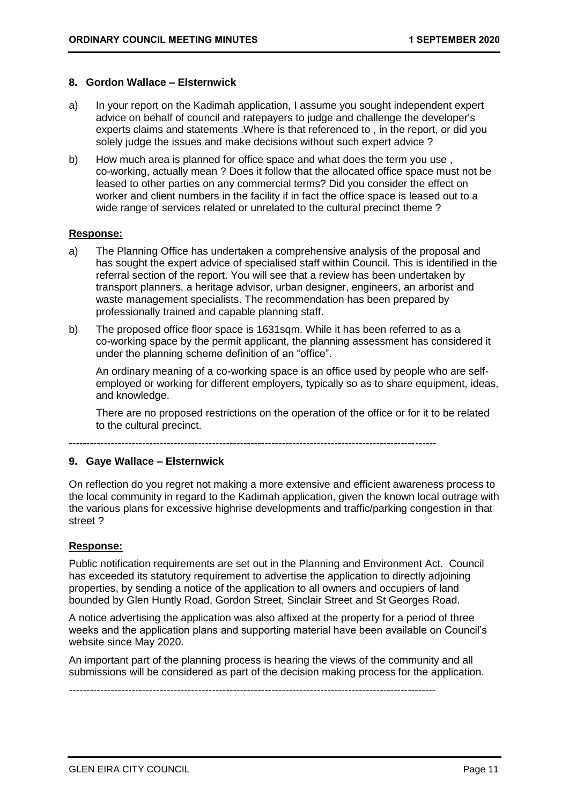### **8. Gordon Wallace – Elsternwick**

- a) In your report on the Kadimah application, I assume you sought independent expert advice on behalf of council and ratepayers to judge and challenge the developer's experts claims and statements .Where is that referenced to , in the report, or did you solely judge the issues and make decisions without such expert advice ?
- b) How much area is planned for office space and what does the term you use, co-working, actually mean ? Does it follow that the allocated office space must not be leased to other parties on any commercial terms? Did you consider the effect on worker and client numbers in the facility if in fact the office space is leased out to a wide range of services related or unrelated to the cultural precinct theme ?

### **Response:**

- a) The Planning Office has undertaken a comprehensive analysis of the proposal and has sought the expert advice of specialised staff within Council. This is identified in the referral section of the report. You will see that a review has been undertaken by transport planners, a heritage advisor, urban designer, engineers, an arborist and waste management specialists. The recommendation has been prepared by professionally trained and capable planning staff.
- b) The proposed office floor space is 1631sqm. While it has been referred to as a co-working space by the permit applicant, the planning assessment has considered it under the planning scheme definition of an "office".

An ordinary meaning of a co-working space is an office used by people who are selfemployed or working for different employers, typically so as to share equipment, ideas, and knowledge.

There are no proposed restrictions on the operation of the office or for it to be related to the cultural precinct.

---------------------------------------------------------------------------------------------------------

### **9. Gaye Wallace – Elsternwick**

On reflection do you regret not making a more extensive and efficient awareness process to the local community in regard to the Kadimah application, given the known local outrage with the various plans for excessive highrise developments and traffic/parking congestion in that street ?

### **Response:**

Public notification requirements are set out in the Planning and Environment Act. Council has exceeded its statutory requirement to advertise the application to directly adjoining properties, by sending a notice of the application to all owners and occupiers of land bounded by Glen Huntly Road, Gordon Street, Sinclair Street and St Georges Road.

A notice advertising the application was also affixed at the property for a period of three weeks and the application plans and supporting material have been available on Council's website since May 2020.

An important part of the planning process is hearing the views of the community and all submissions will be considered as part of the decision making process for the application.

---------------------------------------------------------------------------------------------------------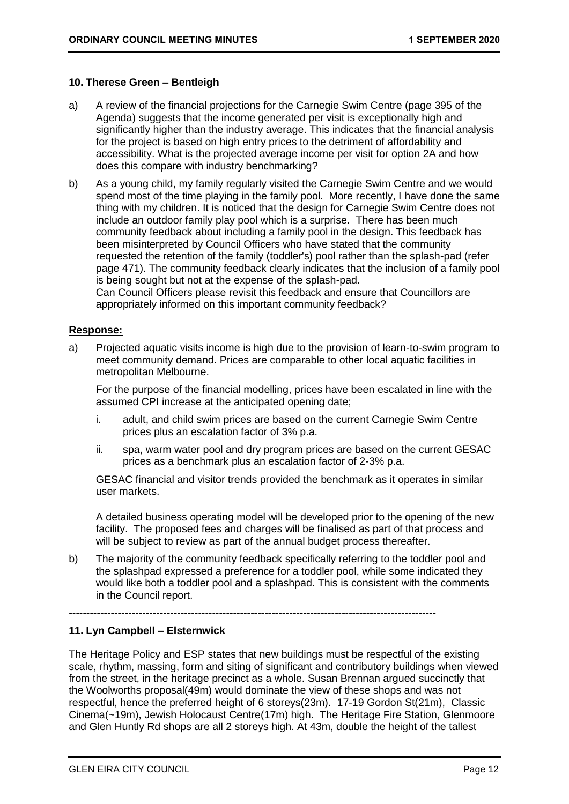### **10. Therese Green – Bentleigh**

- a) A review of the financial projections for the Carnegie Swim Centre (page 395 of the Agenda) suggests that the income generated per visit is exceptionally high and significantly higher than the industry average. This indicates that the financial analysis for the project is based on high entry prices to the detriment of affordability and accessibility. What is the projected average income per visit for option 2A and how does this compare with industry benchmarking?
- b) As a young child, my family regularly visited the Carnegie Swim Centre and we would spend most of the time playing in the family pool. More recently, I have done the same thing with my children. It is noticed that the design for Carnegie Swim Centre does not include an outdoor family play pool which is a surprise. There has been much community feedback about including a family pool in the design. This feedback has been misinterpreted by Council Officers who have stated that the community requested the retention of the family (toddler's) pool rather than the splash-pad (refer page 471). The community feedback clearly indicates that the inclusion of a family pool is being sought but not at the expense of the splash-pad.

Can Council Officers please revisit this feedback and ensure that Councillors are appropriately informed on this important community feedback?

### **Response:**

a) Projected aquatic visits income is high due to the provision of learn-to-swim program to meet community demand. Prices are comparable to other local aquatic facilities in metropolitan Melbourne.

For the purpose of the financial modelling, prices have been escalated in line with the assumed CPI increase at the anticipated opening date;

- i. adult, and child swim prices are based on the current Carnegie Swim Centre prices plus an escalation factor of 3% p.a.
- ii. spa, warm water pool and dry program prices are based on the current GESAC prices as a benchmark plus an escalation factor of 2-3% p.a.

GESAC financial and visitor trends provided the benchmark as it operates in similar user markets.

A detailed business operating model will be developed prior to the opening of the new facility. The proposed fees and charges will be finalised as part of that process and will be subject to review as part of the annual budget process thereafter.

b) The majority of the community feedback specifically referring to the toddler pool and the splashpad expressed a preference for a toddler pool, while some indicated they would like both a toddler pool and a splashpad. This is consistent with the comments in the Council report.

---------------------------------------------------------------------------------------------------------

### **11. Lyn Campbell – Elsternwick**

The Heritage Policy and ESP states that new buildings must be respectful of the existing scale, rhythm, massing, form and siting of significant and contributory buildings when viewed from the street, in the heritage precinct as a whole. Susan Brennan argued succinctly that the Woolworths proposal(49m) would dominate the view of these shops and was not respectful, hence the preferred height of 6 storeys(23m). 17-19 Gordon St(21m), Classic Cinema(~19m), Jewish Holocaust Centre(17m) high. The Heritage Fire Station, Glenmoore and Glen Huntly Rd shops are all 2 storeys high. At 43m, double the height of the tallest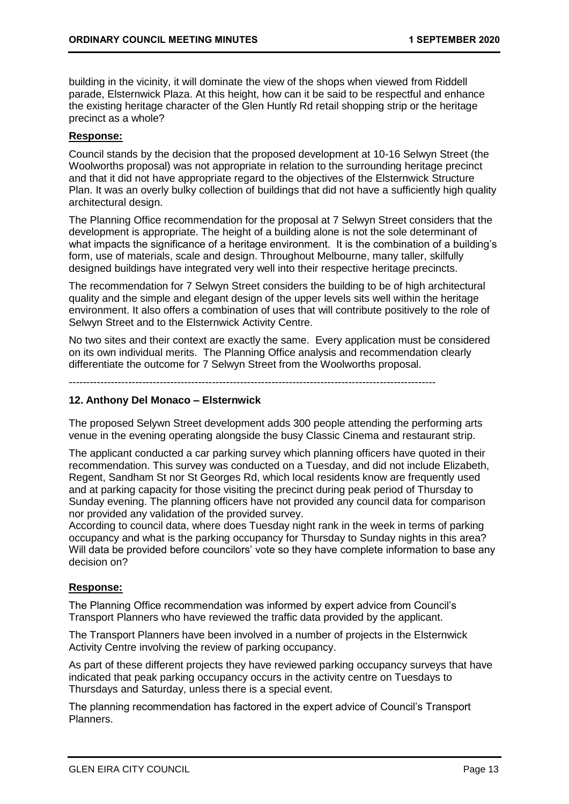building in the vicinity, it will dominate the view of the shops when viewed from Riddell parade, Elsternwick Plaza. At this height, how can it be said to be respectful and enhance the existing heritage character of the Glen Huntly Rd retail shopping strip or the heritage precinct as a whole?

### **Response:**

Council stands by the decision that the proposed development at 10-16 Selwyn Street (the Woolworths proposal) was not appropriate in relation to the surrounding heritage precinct and that it did not have appropriate regard to the objectives of the Elsternwick Structure Plan. It was an overly bulky collection of buildings that did not have a sufficiently high quality architectural design.

The Planning Office recommendation for the proposal at 7 Selwyn Street considers that the development is appropriate. The height of a building alone is not the sole determinant of what impacts the significance of a heritage environment. It is the combination of a building's form, use of materials, scale and design. Throughout Melbourne, many taller, skilfully designed buildings have integrated very well into their respective heritage precincts.

The recommendation for 7 Selwyn Street considers the building to be of high architectural quality and the simple and elegant design of the upper levels sits well within the heritage environment. It also offers a combination of uses that will contribute positively to the role of Selwyn Street and to the Elsternwick Activity Centre.

No two sites and their context are exactly the same. Every application must be considered on its own individual merits. The Planning Office analysis and recommendation clearly differentiate the outcome for 7 Selwyn Street from the Woolworths proposal.

---------------------------------------------------------------------------------------------------------

### **12. Anthony Del Monaco – Elsternwick**

The proposed Selywn Street development adds 300 people attending the performing arts venue in the evening operating alongside the busy Classic Cinema and restaurant strip.

The applicant conducted a car parking survey which planning officers have quoted in their recommendation. This survey was conducted on a Tuesday, and did not include Elizabeth, Regent, Sandham St nor St Georges Rd, which local residents know are frequently used and at parking capacity for those visiting the precinct during peak period of Thursday to Sunday evening. The planning officers have not provided any council data for comparison nor provided any validation of the provided survey.

According to council data, where does Tuesday night rank in the week in terms of parking occupancy and what is the parking occupancy for Thursday to Sunday nights in this area? Will data be provided before councilors' vote so they have complete information to base any decision on?

### **Response:**

The Planning Office recommendation was informed by expert advice from Council's Transport Planners who have reviewed the traffic data provided by the applicant.

The Transport Planners have been involved in a number of projects in the Elsternwick Activity Centre involving the review of parking occupancy.

As part of these different projects they have reviewed parking occupancy surveys that have indicated that peak parking occupancy occurs in the activity centre on Tuesdays to Thursdays and Saturday, unless there is a special event.

The planning recommendation has factored in the expert advice of Council's Transport Planners.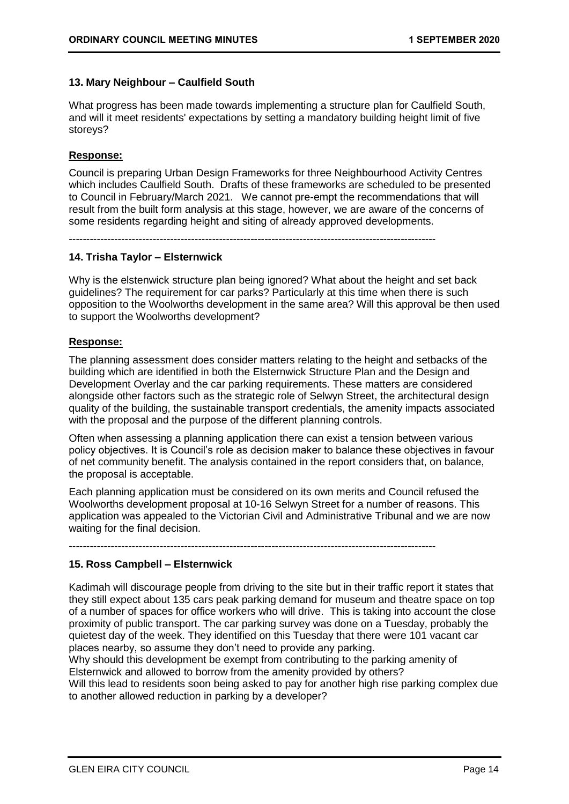### **13. Mary Neighbour – Caulfield South**

What progress has been made towards implementing a structure plan for Caulfield South, and will it meet residents' expectations by setting a mandatory building height limit of five storeys?

### **Response:**

Council is preparing Urban Design Frameworks for three Neighbourhood Activity Centres which includes Caulfield South. Drafts of these frameworks are scheduled to be presented to Council in February/March 2021. We cannot pre-empt the recommendations that will result from the built form analysis at this stage, however, we are aware of the concerns of some residents regarding height and siting of already approved developments.

---------------------------------------------------------------------------------------------------------

### **14. Trisha Taylor – Elsternwick**

Why is the elstenwick structure plan being ignored? What about the height and set back guidelines? The requirement for car parks? Particularly at this time when there is such opposition to the Woolworths development in the same area? Will this approval be then used to support the Woolworths development?

### **Response:**

The planning assessment does consider matters relating to the height and setbacks of the building which are identified in both the Elsternwick Structure Plan and the Design and Development Overlay and the car parking requirements. These matters are considered alongside other factors such as the strategic role of Selwyn Street, the architectural design quality of the building, the sustainable transport credentials, the amenity impacts associated with the proposal and the purpose of the different planning controls.

Often when assessing a planning application there can exist a tension between various policy objectives. It is Council's role as decision maker to balance these objectives in favour of net community benefit. The analysis contained in the report considers that, on balance, the proposal is acceptable.

Each planning application must be considered on its own merits and Council refused the Woolworths development proposal at 10-16 Selwyn Street for a number of reasons. This application was appealed to the Victorian Civil and Administrative Tribunal and we are now waiting for the final decision.

---------------------------------------------------------------------------------------------------------

### **15. Ross Campbell – Elsternwick**

Kadimah will discourage people from driving to the site but in their traffic report it states that they still expect about 135 cars peak parking demand for museum and theatre space on top of a number of spaces for office workers who will drive. This is taking into account the close proximity of public transport. The car parking survey was done on a Tuesday, probably the quietest day of the week. They identified on this Tuesday that there were 101 vacant car places nearby, so assume they don't need to provide any parking.

Why should this development be exempt from contributing to the parking amenity of Elsternwick and allowed to borrow from the amenity provided by others?

Will this lead to residents soon being asked to pay for another high rise parking complex due to another allowed reduction in parking by a developer?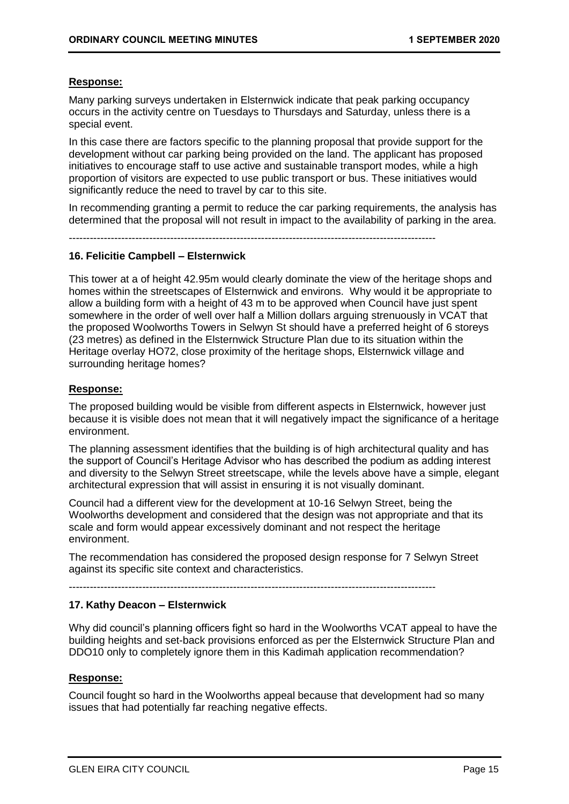### **Response:**

Many parking surveys undertaken in Elsternwick indicate that peak parking occupancy occurs in the activity centre on Tuesdays to Thursdays and Saturday, unless there is a special event.

In this case there are factors specific to the planning proposal that provide support for the development without car parking being provided on the land. The applicant has proposed initiatives to encourage staff to use active and sustainable transport modes, while a high proportion of visitors are expected to use public transport or bus. These initiatives would significantly reduce the need to travel by car to this site.

In recommending granting a permit to reduce the car parking requirements, the analysis has determined that the proposal will not result in impact to the availability of parking in the area.

---------------------------------------------------------------------------------------------------------

### **16. Felicitie Campbell – Elsternwick**

This tower at a of height 42.95m would clearly dominate the view of the heritage shops and homes within the streetscapes of Elsternwick and environs. Why would it be appropriate to allow a building form with a height of 43 m to be approved when Council have just spent somewhere in the order of well over half a Million dollars arguing strenuously in VCAT that the proposed Woolworths Towers in Selwyn St should have a preferred height of 6 storeys (23 metres) as defined in the Elsternwick Structure Plan due to its situation within the Heritage overlay HO72, close proximity of the heritage shops, Elsternwick village and surrounding heritage homes?

### **Response:**

The proposed building would be visible from different aspects in Elsternwick, however just because it is visible does not mean that it will negatively impact the significance of a heritage environment.

The planning assessment identifies that the building is of high architectural quality and has the support of Council's Heritage Advisor who has described the podium as adding interest and diversity to the Selwyn Street streetscape, while the levels above have a simple, elegant architectural expression that will assist in ensuring it is not visually dominant.

Council had a different view for the development at 10-16 Selwyn Street, being the Woolworths development and considered that the design was not appropriate and that its scale and form would appear excessively dominant and not respect the heritage environment.

The recommendation has considered the proposed design response for 7 Selwyn Street against its specific site context and characteristics.

---------------------------------------------------------------------------------------------------------

### **17. Kathy Deacon – Elsternwick**

Why did council's planning officers fight so hard in the Woolworths VCAT appeal to have the building heights and set-back provisions enforced as per the Elsternwick Structure Plan and DDO10 only to completely ignore them in this Kadimah application recommendation?

### **Response:**

Council fought so hard in the Woolworths appeal because that development had so many issues that had potentially far reaching negative effects.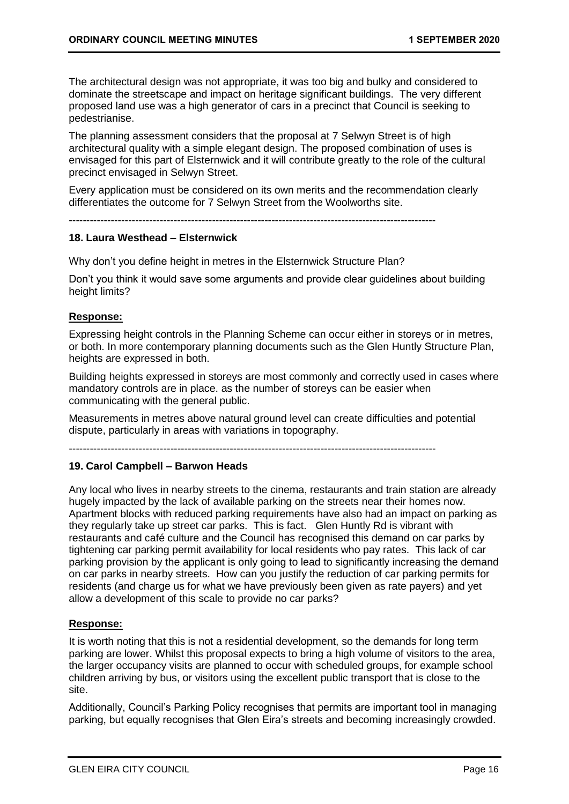The architectural design was not appropriate, it was too big and bulky and considered to dominate the streetscape and impact on heritage significant buildings. The very different proposed land use was a high generator of cars in a precinct that Council is seeking to pedestrianise.

The planning assessment considers that the proposal at 7 Selwyn Street is of high architectural quality with a simple elegant design. The proposed combination of uses is envisaged for this part of Elsternwick and it will contribute greatly to the role of the cultural precinct envisaged in Selwyn Street.

Every application must be considered on its own merits and the recommendation clearly differentiates the outcome for 7 Selwyn Street from the Woolworths site.

---------------------------------------------------------------------------------------------------------

### **18. Laura Westhead – Elsternwick**

Why don't you define height in metres in the Elsternwick Structure Plan?

Don't you think it would save some arguments and provide clear guidelines about building height limits?

### **Response:**

Expressing height controls in the Planning Scheme can occur either in storeys or in metres, or both. In more contemporary planning documents such as the Glen Huntly Structure Plan, heights are expressed in both.

Building heights expressed in storeys are most commonly and correctly used in cases where mandatory controls are in place. as the number of storeys can be easier when communicating with the general public.

Measurements in metres above natural ground level can create difficulties and potential dispute, particularly in areas with variations in topography.

---------------------------------------------------------------------------------------------------------

### **19. Carol Campbell – Barwon Heads**

Any local who lives in nearby streets to the cinema, restaurants and train station are already hugely impacted by the lack of available parking on the streets near their homes now. Apartment blocks with reduced parking requirements have also had an impact on parking as they regularly take up street car parks. This is fact. Glen Huntly Rd is vibrant with restaurants and café culture and the Council has recognised this demand on car parks by tightening car parking permit availability for local residents who pay rates. This lack of car parking provision by the applicant is only going to lead to significantly increasing the demand on car parks in nearby streets. How can you justify the reduction of car parking permits for residents (and charge us for what we have previously been given as rate payers) and yet allow a development of this scale to provide no car parks?

### **Response:**

It is worth noting that this is not a residential development, so the demands for long term parking are lower. Whilst this proposal expects to bring a high volume of visitors to the area, the larger occupancy visits are planned to occur with scheduled groups, for example school children arriving by bus, or visitors using the excellent public transport that is close to the site.

Additionally, Council's Parking Policy recognises that permits are important tool in managing parking, but equally recognises that Glen Eira's streets and becoming increasingly crowded.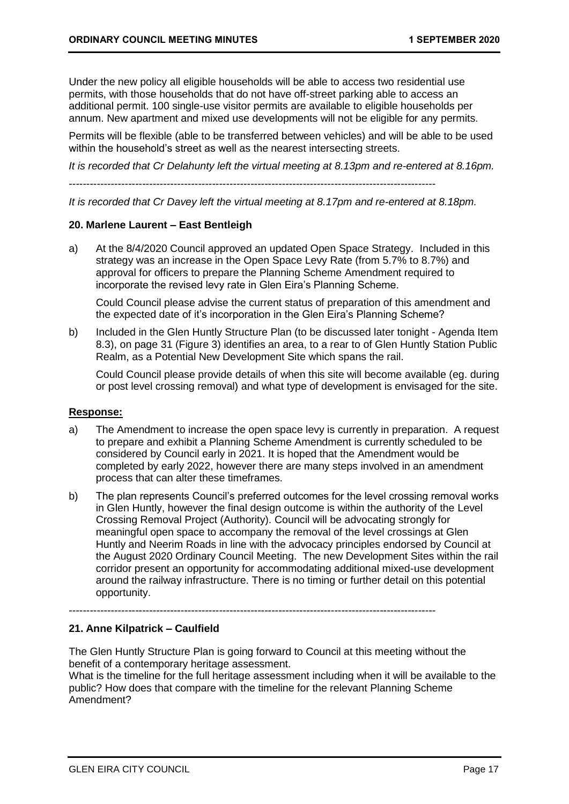Under the new policy all eligible households will be able to access two residential use permits, with those households that do not have off-street parking able to access an additional permit. 100 single-use visitor permits are available to eligible households per annum. New apartment and mixed use developments will not be eligible for any permits.

Permits will be flexible (able to be transferred between vehicles) and will be able to be used within the household's street as well as the nearest intersecting streets.

*It is recorded that Cr Delahunty left the virtual meeting at 8.13pm and re-entered at 8.16pm.*

---------------------------------------------------------------------------------------------------------

*It is recorded that Cr Davey left the virtual meeting at 8.17pm and re-entered at 8.18pm.*

### **20. Marlene Laurent – East Bentleigh**

a) At the 8/4/2020 Council approved an updated Open Space Strategy. Included in this strategy was an increase in the Open Space Levy Rate (from 5.7% to 8.7%) and approval for officers to prepare the Planning Scheme Amendment required to incorporate the revised levy rate in Glen Eira's Planning Scheme.

Could Council please advise the current status of preparation of this amendment and the expected date of it's incorporation in the Glen Eira's Planning Scheme?

b) Included in the Glen Huntly Structure Plan (to be discussed later tonight - Agenda Item 8.3), on page 31 (Figure 3) identifies an area, to a rear to of Glen Huntly Station Public Realm, as a Potential New Development Site which spans the rail.

Could Council please provide details of when this site will become available (eg. during or post level crossing removal) and what type of development is envisaged for the site.

### **Response:**

- a) The Amendment to increase the open space levy is currently in preparation. A request to prepare and exhibit a Planning Scheme Amendment is currently scheduled to be considered by Council early in 2021. It is hoped that the Amendment would be completed by early 2022, however there are many steps involved in an amendment process that can alter these timeframes.
- b) The plan represents Council's preferred outcomes for the level crossing removal works in Glen Huntly, however the final design outcome is within the authority of the Level Crossing Removal Project (Authority). Council will be advocating strongly for meaningful open space to accompany the removal of the level crossings at Glen Huntly and Neerim Roads in line with the advocacy principles endorsed by Council at the August 2020 Ordinary Council Meeting. The new Development Sites within the rail corridor present an opportunity for accommodating additional mixed-use development around the railway infrastructure. There is no timing or further detail on this potential opportunity.

---------------------------------------------------------------------------------------------------------

### **21. Anne Kilpatrick – Caulfield**

The Glen Huntly Structure Plan is going forward to Council at this meeting without the benefit of a contemporary heritage assessment.

What is the timeline for the full heritage assessment including when it will be available to the public? How does that compare with the timeline for the relevant Planning Scheme Amendment?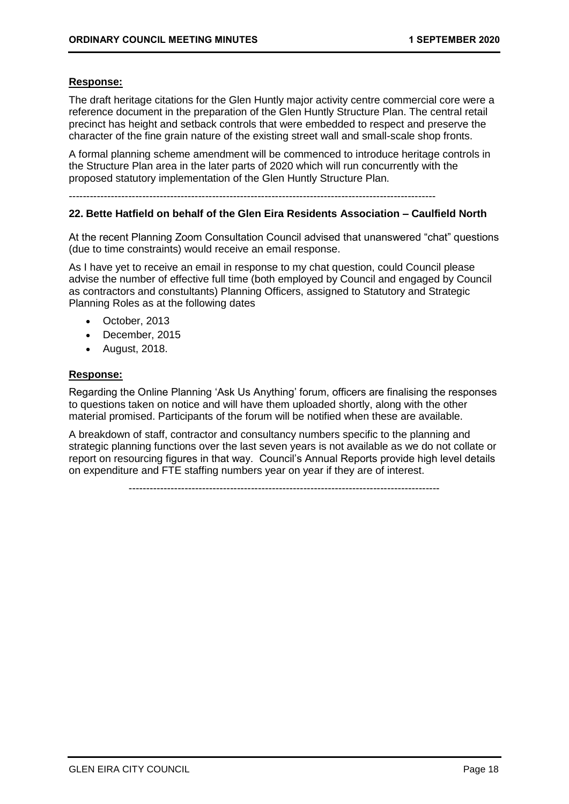### **Response:**

The draft heritage citations for the Glen Huntly major activity centre commercial core were a reference document in the preparation of the Glen Huntly Structure Plan. The central retail precinct has height and setback controls that were embedded to respect and preserve the character of the fine grain nature of the existing street wall and small-scale shop fronts.

A formal planning scheme amendment will be commenced to introduce heritage controls in the Structure Plan area in the later parts of 2020 which will run concurrently with the proposed statutory implementation of the Glen Huntly Structure Plan.

---------------------------------------------------------------------------------------------------------

### **22. Bette Hatfield on behalf of the Glen Eira Residents Association – Caulfield North**

At the recent Planning Zoom Consultation Council advised that unanswered "chat" questions (due to time constraints) would receive an email response.

As I have yet to receive an email in response to my chat question, could Council please advise the number of effective full time (both employed by Council and engaged by Council as contractors and constultants) Planning Officers, assigned to Statutory and Strategic Planning Roles as at the following dates

- October, 2013
- December, 2015
- August, 2018.

### **Response:**

Regarding the Online Planning 'Ask Us Anything' forum, officers are finalising the responses to questions taken on notice and will have them uploaded shortly, along with the other material promised. Participants of the forum will be notified when these are available.

A breakdown of staff, contractor and consultancy numbers specific to the planning and strategic planning functions over the last seven years is not available as we do not collate or report on resourcing figures in that way. Council's Annual Reports provide high level details on expenditure and FTE staffing numbers year on year if they are of interest.

-----------------------------------------------------------------------------------------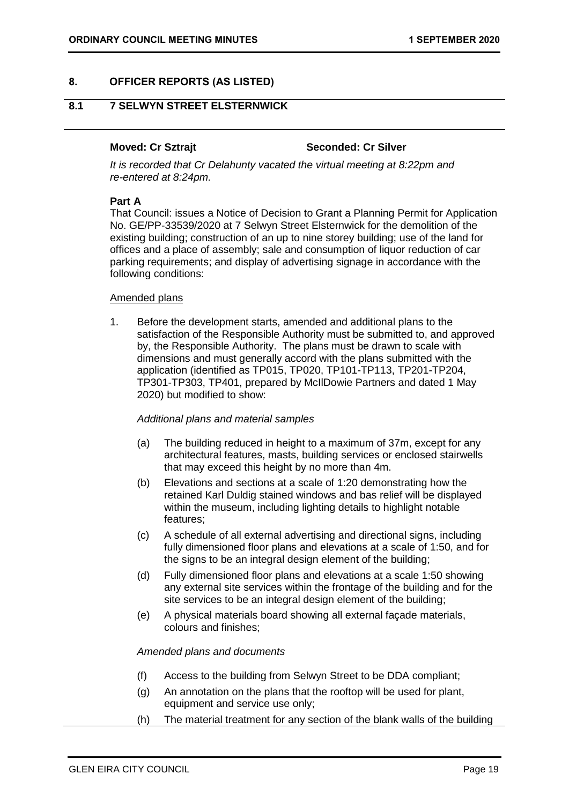### <span id="page-18-1"></span><span id="page-18-0"></span>**8. OFFICER REPORTS (AS LISTED)**

### **8.1 7 SELWYN STREET ELSTERNWICK**

### **Moved: Cr Sztrajt Seconded: Cr Silver**

*It is recorded that Cr Delahunty vacated the virtual meeting at 8:22pm and re-entered at 8:24pm.*

### **Part A**

That Council: issues a Notice of Decision to Grant a Planning Permit for Application No. GE/PP-33539/2020 at 7 Selwyn Street Elsternwick for the demolition of the existing building; construction of an up to nine storey building; use of the land for offices and a place of assembly; sale and consumption of liquor reduction of car parking requirements; and display of advertising signage in accordance with the following conditions:

### Amended plans

1. Before the development starts, amended and additional plans to the satisfaction of the Responsible Authority must be submitted to, and approved by, the Responsible Authority. The plans must be drawn to scale with dimensions and must generally accord with the plans submitted with the application (identified as TP015, TP020, TP101-TP113, TP201-TP204, TP301-TP303, TP401, prepared by McIlDowie Partners and dated 1 May 2020) but modified to show:

### *Additional plans and material samples*

- (a) The building reduced in height to a maximum of 37m, except for any architectural features, masts, building services or enclosed stairwells that may exceed this height by no more than 4m.
- (b) Elevations and sections at a scale of 1:20 demonstrating how the retained Karl Duldig stained windows and bas relief will be displayed within the museum, including lighting details to highlight notable features;
- (c) A schedule of all external advertising and directional signs, including fully dimensioned floor plans and elevations at a scale of 1:50, and for the signs to be an integral design element of the building:
- (d) Fully dimensioned floor plans and elevations at a scale 1:50 showing any external site services within the frontage of the building and for the site services to be an integral design element of the building;
- (e) A physical materials board showing all external façade materials, colours and finishes;

### *Amended plans and documents*

- (f) Access to the building from Selwyn Street to be DDA compliant;
- (g) An annotation on the plans that the rooftop will be used for plant, equipment and service use only;
- (h) The material treatment for any section of the blank walls of the building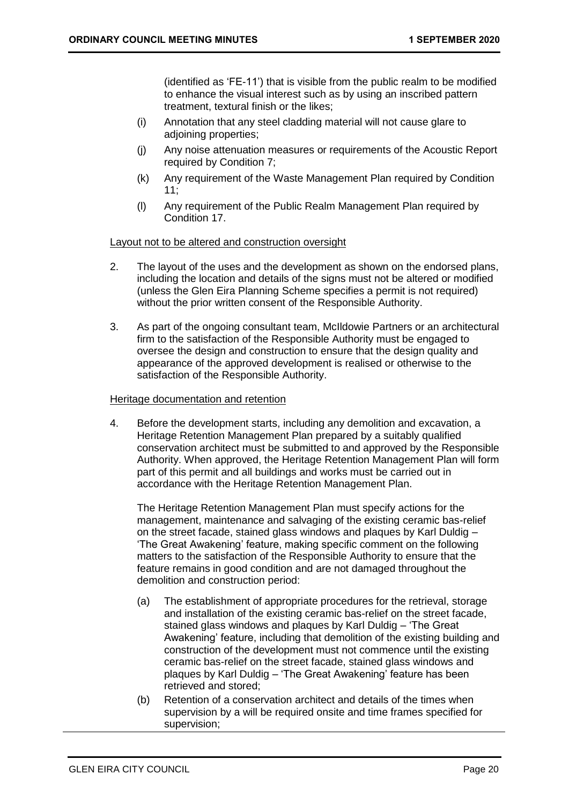(identified as 'FE-11') that is visible from the public realm to be modified to enhance the visual interest such as by using an inscribed pattern treatment, textural finish or the likes;

- (i) Annotation that any steel cladding material will not cause glare to adjoining properties;
- (j) Any noise attenuation measures or requirements of the Acoustic Report required by Condition 7;
- (k) Any requirement of the Waste Management Plan required by Condition 11;
- (l) Any requirement of the Public Realm Management Plan required by Condition 17.

Layout not to be altered and construction oversight

- 2. The layout of the uses and the development as shown on the endorsed plans, including the location and details of the signs must not be altered or modified (unless the Glen Eira Planning Scheme specifies a permit is not required) without the prior written consent of the Responsible Authority.
- 3. As part of the ongoing consultant team, McIldowie Partners or an architectural firm to the satisfaction of the Responsible Authority must be engaged to oversee the design and construction to ensure that the design quality and appearance of the approved development is realised or otherwise to the satisfaction of the Responsible Authority.

### Heritage documentation and retention

4. Before the development starts, including any demolition and excavation, a Heritage Retention Management Plan prepared by a suitably qualified conservation architect must be submitted to and approved by the Responsible Authority. When approved, the Heritage Retention Management Plan will form part of this permit and all buildings and works must be carried out in accordance with the Heritage Retention Management Plan.

The Heritage Retention Management Plan must specify actions for the management, maintenance and salvaging of the existing ceramic bas-relief on the street facade, stained glass windows and plaques by Karl Duldig – 'The Great Awakening' feature, making specific comment on the following matters to the satisfaction of the Responsible Authority to ensure that the feature remains in good condition and are not damaged throughout the demolition and construction period:

- (a) The establishment of appropriate procedures for the retrieval, storage and installation of the existing ceramic bas-relief on the street facade, stained glass windows and plaques by Karl Duldig – 'The Great Awakening' feature, including that demolition of the existing building and construction of the development must not commence until the existing ceramic bas-relief on the street facade, stained glass windows and plaques by Karl Duldig – 'The Great Awakening' feature has been retrieved and stored;
- (b) Retention of a conservation architect and details of the times when supervision by a will be required onsite and time frames specified for supervision;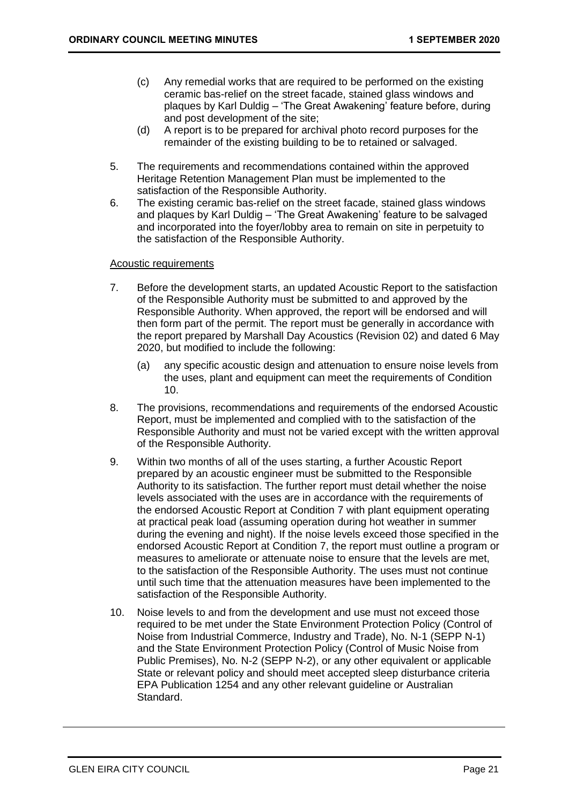- (c) Any remedial works that are required to be performed on the existing ceramic bas-relief on the street facade, stained glass windows and plaques by Karl Duldig – 'The Great Awakening' feature before, during and post development of the site;
- (d) A report is to be prepared for archival photo record purposes for the remainder of the existing building to be to retained or salvaged.
- 5. The requirements and recommendations contained within the approved Heritage Retention Management Plan must be implemented to the satisfaction of the Responsible Authority.
- 6. The existing ceramic bas-relief on the street facade, stained glass windows and plaques by Karl Duldig – 'The Great Awakening' feature to be salvaged and incorporated into the foyer/lobby area to remain on site in perpetuity to the satisfaction of the Responsible Authority.

### Acoustic requirements

- 7. Before the development starts, an updated Acoustic Report to the satisfaction of the Responsible Authority must be submitted to and approved by the Responsible Authority. When approved, the report will be endorsed and will then form part of the permit. The report must be generally in accordance with the report prepared by Marshall Day Acoustics (Revision 02) and dated 6 May 2020, but modified to include the following:
	- (a) any specific acoustic design and attenuation to ensure noise levels from the uses, plant and equipment can meet the requirements of Condition 10.
- 8. The provisions, recommendations and requirements of the endorsed Acoustic Report, must be implemented and complied with to the satisfaction of the Responsible Authority and must not be varied except with the written approval of the Responsible Authority.
- 9. Within two months of all of the uses starting, a further Acoustic Report prepared by an acoustic engineer must be submitted to the Responsible Authority to its satisfaction. The further report must detail whether the noise levels associated with the uses are in accordance with the requirements of the endorsed Acoustic Report at Condition 7 with plant equipment operating at practical peak load (assuming operation during hot weather in summer during the evening and night). If the noise levels exceed those specified in the endorsed Acoustic Report at Condition 7, the report must outline a program or measures to ameliorate or attenuate noise to ensure that the levels are met, to the satisfaction of the Responsible Authority. The uses must not continue until such time that the attenuation measures have been implemented to the satisfaction of the Responsible Authority.
- 10. Noise levels to and from the development and use must not exceed those required to be met under the State Environment Protection Policy (Control of Noise from Industrial Commerce, Industry and Trade), No. N-1 (SEPP N-1) and the State Environment Protection Policy (Control of Music Noise from Public Premises), No. N-2 (SEPP N-2), or any other equivalent or applicable State or relevant policy and should meet accepted sleep disturbance criteria EPA Publication 1254 and any other relevant guideline or Australian Standard.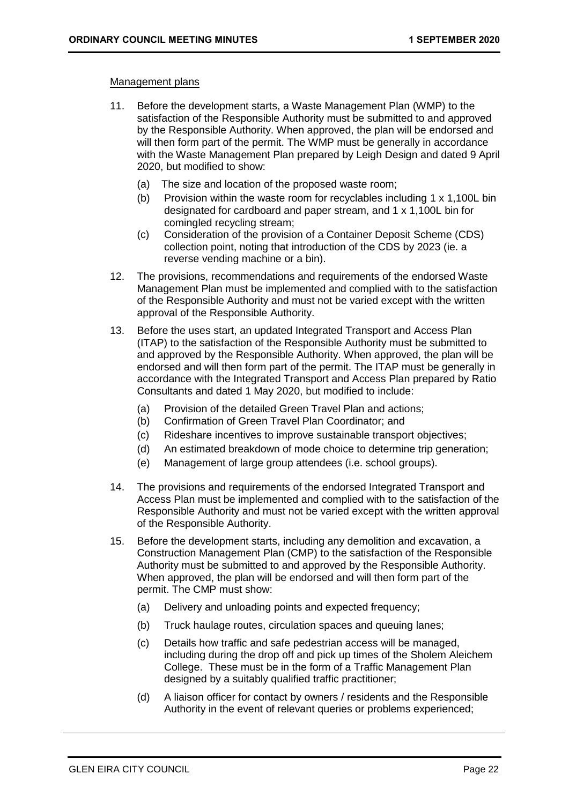### Management plans

- 11. Before the development starts, a Waste Management Plan (WMP) to the satisfaction of the Responsible Authority must be submitted to and approved by the Responsible Authority. When approved, the plan will be endorsed and will then form part of the permit. The WMP must be generally in accordance with the Waste Management Plan prepared by Leigh Design and dated 9 April 2020, but modified to show:
	- (a) The size and location of the proposed waste room;
	- (b) Provision within the waste room for recyclables including 1 x 1,100L bin designated for cardboard and paper stream, and 1 x 1,100L bin for comingled recycling stream;
	- (c) Consideration of the provision of a Container Deposit Scheme (CDS) collection point, noting that introduction of the CDS by 2023 (ie. a reverse vending machine or a bin).
- 12. The provisions, recommendations and requirements of the endorsed Waste Management Plan must be implemented and complied with to the satisfaction of the Responsible Authority and must not be varied except with the written approval of the Responsible Authority.
- 13. Before the uses start, an updated Integrated Transport and Access Plan (ITAP) to the satisfaction of the Responsible Authority must be submitted to and approved by the Responsible Authority. When approved, the plan will be endorsed and will then form part of the permit. The ITAP must be generally in accordance with the Integrated Transport and Access Plan prepared by Ratio Consultants and dated 1 May 2020, but modified to include:
	- (a) Provision of the detailed Green Travel Plan and actions;
	- (b) Confirmation of Green Travel Plan Coordinator; and
	- (c) Rideshare incentives to improve sustainable transport objectives;
	- (d) An estimated breakdown of mode choice to determine trip generation;
	- (e) Management of large group attendees (i.e. school groups).
- 14. The provisions and requirements of the endorsed Integrated Transport and Access Plan must be implemented and complied with to the satisfaction of the Responsible Authority and must not be varied except with the written approval of the Responsible Authority.
- 15. Before the development starts, including any demolition and excavation, a Construction Management Plan (CMP) to the satisfaction of the Responsible Authority must be submitted to and approved by the Responsible Authority. When approved, the plan will be endorsed and will then form part of the permit. The CMP must show:
	- (a) Delivery and unloading points and expected frequency;
	- (b) Truck haulage routes, circulation spaces and queuing lanes;
	- (c) Details how traffic and safe pedestrian access will be managed, including during the drop off and pick up times of the Sholem Aleichem College. These must be in the form of a Traffic Management Plan designed by a suitably qualified traffic practitioner;
	- (d) A liaison officer for contact by owners / residents and the Responsible Authority in the event of relevant queries or problems experienced;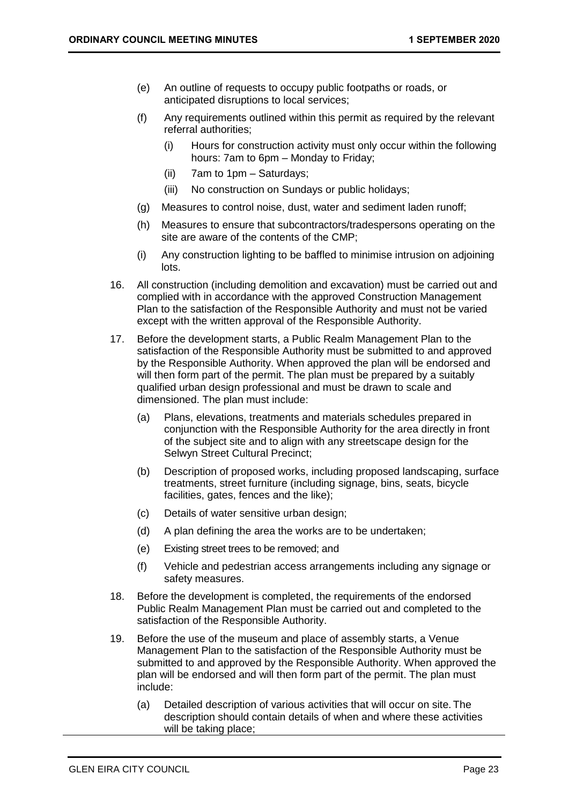- (e) An outline of requests to occupy public footpaths or roads, or anticipated disruptions to local services;
- (f) Any requirements outlined within this permit as required by the relevant referral authorities;
	- (i) Hours for construction activity must only occur within the following hours: 7am to 6pm – Monday to Friday;
	- (ii) 7am to 1pm Saturdays;
	- (iii) No construction on Sundays or public holidays;
- (g) Measures to control noise, dust, water and sediment laden runoff;
- (h) Measures to ensure that subcontractors/tradespersons operating on the site are aware of the contents of the CMP;
- (i) Any construction lighting to be baffled to minimise intrusion on adjoining lots.
- 16. All construction (including demolition and excavation) must be carried out and complied with in accordance with the approved Construction Management Plan to the satisfaction of the Responsible Authority and must not be varied except with the written approval of the Responsible Authority.
- 17. Before the development starts, a Public Realm Management Plan to the satisfaction of the Responsible Authority must be submitted to and approved by the Responsible Authority. When approved the plan will be endorsed and will then form part of the permit. The plan must be prepared by a suitably qualified urban design professional and must be drawn to scale and dimensioned. The plan must include:
	- (a) Plans, elevations, treatments and materials schedules prepared in conjunction with the Responsible Authority for the area directly in front of the subject site and to align with any streetscape design for the Selwyn Street Cultural Precinct;
	- (b) Description of proposed works, including proposed landscaping, surface treatments, street furniture (including signage, bins, seats, bicycle facilities, gates, fences and the like);
	- (c) Details of water sensitive urban design;
	- (d) A plan defining the area the works are to be undertaken;
	- (e) Existing street trees to be removed; and
	- (f) Vehicle and pedestrian access arrangements including any signage or safety measures.
- 18. Before the development is completed, the requirements of the endorsed Public Realm Management Plan must be carried out and completed to the satisfaction of the Responsible Authority.
- 19. Before the use of the museum and place of assembly starts, a Venue Management Plan to the satisfaction of the Responsible Authority must be submitted to and approved by the Responsible Authority. When approved the plan will be endorsed and will then form part of the permit. The plan must include:
	- (a) Detailed description of various activities that will occur on site. The description should contain details of when and where these activities will be taking place;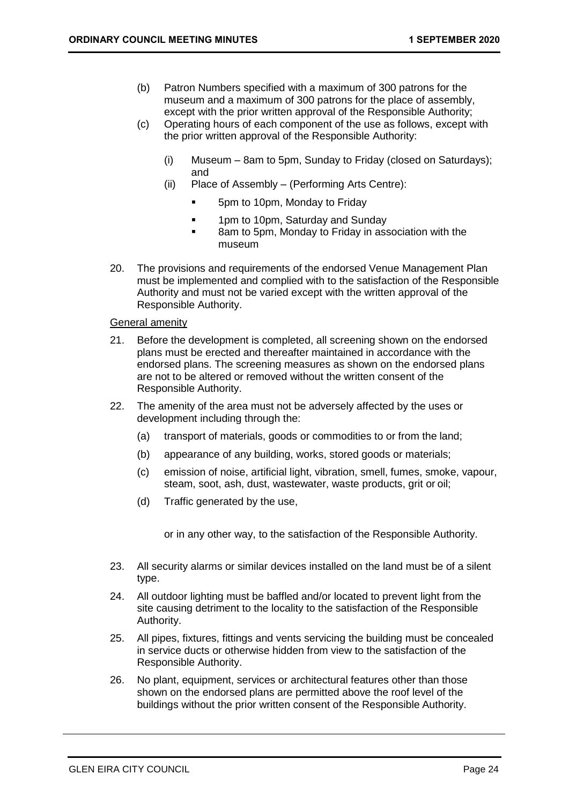- (b) Patron Numbers specified with a maximum of 300 patrons for the museum and a maximum of 300 patrons for the place of assembly, except with the prior written approval of the Responsible Authority;
- (c) Operating hours of each component of the use as follows, except with the prior written approval of the Responsible Authority:
	- (i) Museum 8am to 5pm, Sunday to Friday (closed on Saturdays); and
	- (ii) Place of Assembly (Performing Arts Centre):
		- 5pm to 10pm, Monday to Friday
		- **■** 1pm to 10pm, Saturday and Sunday
		- 8am to 5pm, Monday to Friday in association with the museum
- 20. The provisions and requirements of the endorsed Venue Management Plan must be implemented and complied with to the satisfaction of the Responsible Authority and must not be varied except with the written approval of the Responsible Authority.

### General amenity

- 21. Before the development is completed, all screening shown on the endorsed plans must be erected and thereafter maintained in accordance with the endorsed plans. The screening measures as shown on the endorsed plans are not to be altered or removed without the written consent of the Responsible Authority.
- 22. The amenity of the area must not be adversely affected by the uses or development including through the:
	- (a) transport of materials, goods or commodities to or from the land;
	- (b) appearance of any building, works, stored goods or materials;
	- (c) emission of noise, artificial light, vibration, smell, fumes, smoke, vapour, steam, soot, ash, dust, wastewater, waste products, grit or oil;
	- (d) Traffic generated by the use,

or in any other way, to the satisfaction of the Responsible Authority.

- 23. All security alarms or similar devices installed on the land must be of a silent type.
- 24. All outdoor lighting must be baffled and/or located to prevent light from the site causing detriment to the locality to the satisfaction of the Responsible Authority.
- 25. All pipes, fixtures, fittings and vents servicing the building must be concealed in service ducts or otherwise hidden from view to the satisfaction of the Responsible Authority.
- 26. No plant, equipment, services or architectural features other than those shown on the endorsed plans are permitted above the roof level of the buildings without the prior written consent of the Responsible Authority.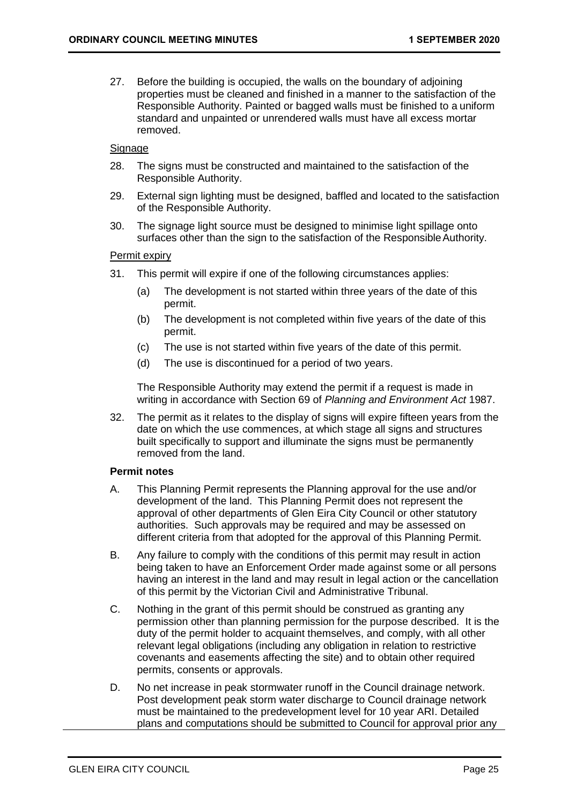27. Before the building is occupied, the walls on the boundary of adjoining properties must be cleaned and finished in a manner to the satisfaction of the Responsible Authority. Painted or bagged walls must be finished to a uniform standard and unpainted or unrendered walls must have all excess mortar removed.

### Signage

- 28. The signs must be constructed and maintained to the satisfaction of the Responsible Authority.
- 29. External sign lighting must be designed, baffled and located to the satisfaction of the Responsible Authority.
- 30. The signage light source must be designed to minimise light spillage onto surfaces other than the sign to the satisfaction of the Responsible Authority.

### Permit expiry

- 31. This permit will expire if one of the following circumstances applies:
	- (a) The development is not started within three years of the date of this permit.
	- (b) The development is not completed within five years of the date of this permit.
	- (c) The use is not started within five years of the date of this permit.
	- (d) The use is discontinued for a period of two years.

The Responsible Authority may extend the permit if a request is made in writing in accordance with Section 69 of *Planning and Environment Act* 1987.

32. The permit as it relates to the display of signs will expire fifteen years from the date on which the use commences, at which stage all signs and structures built specifically to support and illuminate the signs must be permanently removed from the land.

### **Permit notes**

- A. This Planning Permit represents the Planning approval for the use and/or development of the land. This Planning Permit does not represent the approval of other departments of Glen Eira City Council or other statutory authorities. Such approvals may be required and may be assessed on different criteria from that adopted for the approval of this Planning Permit.
- B. Any failure to comply with the conditions of this permit may result in action being taken to have an Enforcement Order made against some or all persons having an interest in the land and may result in legal action or the cancellation of this permit by the Victorian Civil and Administrative Tribunal.
- C. Nothing in the grant of this permit should be construed as granting any permission other than planning permission for the purpose described. It is the duty of the permit holder to acquaint themselves, and comply, with all other relevant legal obligations (including any obligation in relation to restrictive covenants and easements affecting the site) and to obtain other required permits, consents or approvals.
- D. No net increase in peak stormwater runoff in the Council drainage network. Post development peak storm water discharge to Council drainage network must be maintained to the predevelopment level for 10 year ARI. Detailed plans and computations should be submitted to Council for approval prior any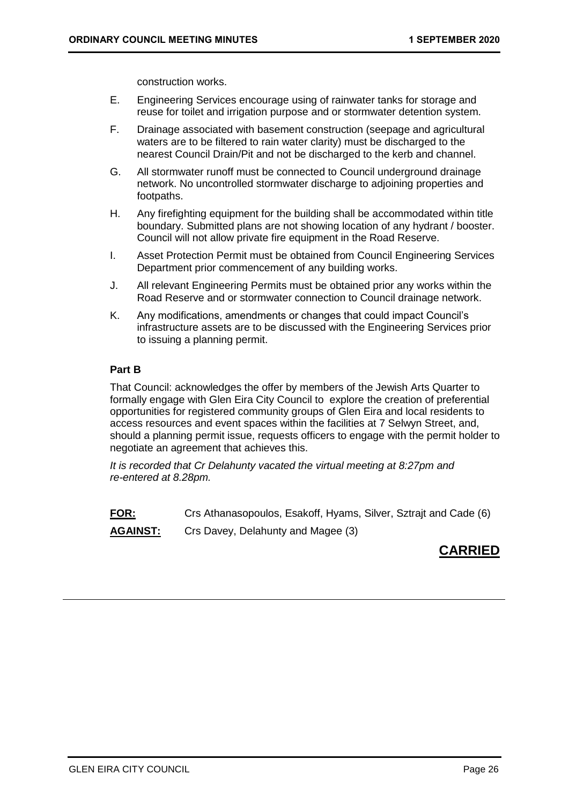construction works.

- E. Engineering Services encourage using of rainwater tanks for storage and reuse for toilet and irrigation purpose and or stormwater detention system.
- F. Drainage associated with basement construction (seepage and agricultural waters are to be filtered to rain water clarity) must be discharged to the nearest Council Drain/Pit and not be discharged to the kerb and channel.
- G. All stormwater runoff must be connected to Council underground drainage network. No uncontrolled stormwater discharge to adjoining properties and footpaths.
- H. Any firefighting equipment for the building shall be accommodated within title boundary. Submitted plans are not showing location of any hydrant / booster. Council will not allow private fire equipment in the Road Reserve.
- I. Asset Protection Permit must be obtained from Council Engineering Services Department prior commencement of any building works.
- J. All relevant Engineering Permits must be obtained prior any works within the Road Reserve and or stormwater connection to Council drainage network.
- K. Any modifications, amendments or changes that could impact Council's infrastructure assets are to be discussed with the Engineering Services prior to issuing a planning permit.

### **Part B**

That Council: acknowledges the offer by members of the Jewish Arts Quarter to formally engage with Glen Eira City Council to explore the creation of preferential opportunities for registered community groups of Glen Eira and local residents to access resources and event spaces within the facilities at 7 Selwyn Street, and, should a planning permit issue, requests officers to engage with the permit holder to negotiate an agreement that achieves this.

*It is recorded that Cr Delahunty vacated the virtual meeting at 8:27pm and re-entered at 8.28pm.*

**FOR:** Crs Athanasopoulos, Esakoff, Hyams, Silver, Sztrajt and Cade (6)

**AGAINST:** Crs Davey, Delahunty and Magee (3)

# **CARRIED**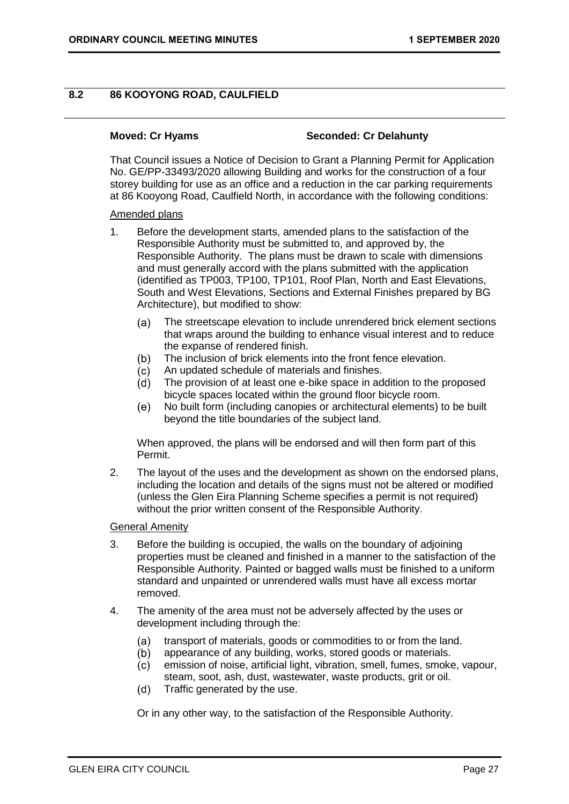### <span id="page-26-0"></span>**8.2 86 KOOYONG ROAD, CAULFIELD**

### **Moved: Cr Hyams Seconded: Cr Delahunty**

That Council issues a Notice of Decision to Grant a Planning Permit for Application No. GE/PP-33493/2020 allowing Building and works for the construction of a four storey building for use as an office and a reduction in the car parking requirements at 86 Kooyong Road, Caulfield North, in accordance with the following conditions:

### Amended plans

- 1. Before the development starts, amended plans to the satisfaction of the Responsible Authority must be submitted to, and approved by, the Responsible Authority. The plans must be drawn to scale with dimensions and must generally accord with the plans submitted with the application (identified as TP003, TP100, TP101, Roof Plan, North and East Elevations, South and West Elevations, Sections and External Finishes prepared by BG Architecture), but modified to show:
	- The streetscape elevation to include unrendered brick element sections  $(a)$ that wraps around the building to enhance visual interest and to reduce the expanse of rendered finish.
	- $(b)$ The inclusion of brick elements into the front fence elevation.
	- An updated schedule of materials and finishes.  $(c)$
	- The provision of at least one e-bike space in addition to the proposed  $(d)$ bicycle spaces located within the ground floor bicycle room.
	- No built form (including canopies or architectural elements) to be built  $(e)$ beyond the title boundaries of the subject land.

When approved, the plans will be endorsed and will then form part of this Permit.

2. The layout of the uses and the development as shown on the endorsed plans, including the location and details of the signs must not be altered or modified (unless the Glen Eira Planning Scheme specifies a permit is not required) without the prior written consent of the Responsible Authority.

### General Amenity

- 3. Before the building is occupied, the walls on the boundary of adjoining properties must be cleaned and finished in a manner to the satisfaction of the Responsible Authority. Painted or bagged walls must be finished to a uniform standard and unpainted or unrendered walls must have all excess mortar removed.
- 4. The amenity of the area must not be adversely affected by the uses or development including through the:
	- $(a)$ transport of materials, goods or commodities to or from the land.
	- appearance of any building, works, stored goods or materials.  $(b)$
	- emission of noise, artificial light, vibration, smell, fumes, smoke, vapour,  $(c)$
	- steam, soot, ash, dust, wastewater, waste products, grit or oil.  $(d)$ Traffic generated by the use.
	- Or in any other way, to the satisfaction of the Responsible Authority.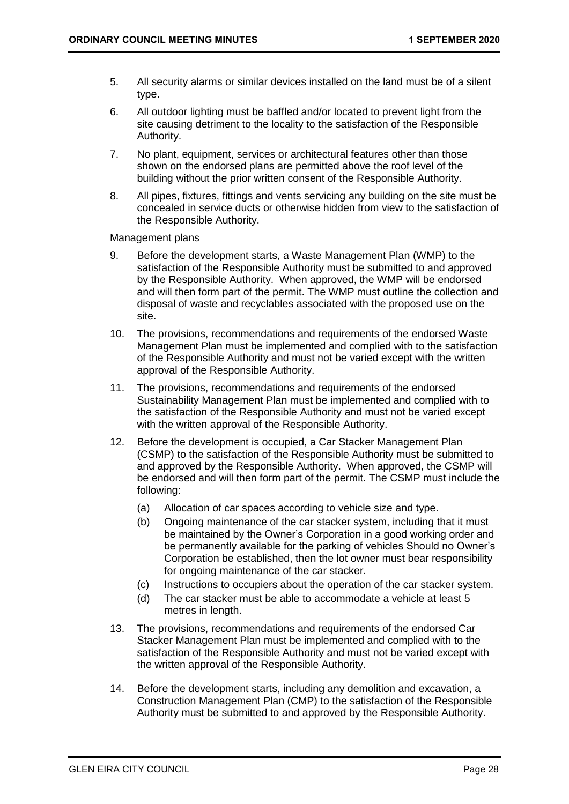- 5. All security alarms or similar devices installed on the land must be of a silent type.
- 6. All outdoor lighting must be baffled and/or located to prevent light from the site causing detriment to the locality to the satisfaction of the Responsible Authority.
- 7. No plant, equipment, services or architectural features other than those shown on the endorsed plans are permitted above the roof level of the building without the prior written consent of the Responsible Authority.
- 8. All pipes, fixtures, fittings and vents servicing any building on the site must be concealed in service ducts or otherwise hidden from view to the satisfaction of the Responsible Authority.

### Management plans

- 9. Before the development starts, a Waste Management Plan (WMP) to the satisfaction of the Responsible Authority must be submitted to and approved by the Responsible Authority. When approved, the WMP will be endorsed and will then form part of the permit. The WMP must outline the collection and disposal of waste and recyclables associated with the proposed use on the site.
- 10. The provisions, recommendations and requirements of the endorsed Waste Management Plan must be implemented and complied with to the satisfaction of the Responsible Authority and must not be varied except with the written approval of the Responsible Authority.
- 11. The provisions, recommendations and requirements of the endorsed Sustainability Management Plan must be implemented and complied with to the satisfaction of the Responsible Authority and must not be varied except with the written approval of the Responsible Authority.
- 12. Before the development is occupied, a Car Stacker Management Plan (CSMP) to the satisfaction of the Responsible Authority must be submitted to and approved by the Responsible Authority. When approved, the CSMP will be endorsed and will then form part of the permit. The CSMP must include the following:
	- (a) Allocation of car spaces according to vehicle size and type.
	- (b) Ongoing maintenance of the car stacker system, including that it must be maintained by the Owner's Corporation in a good working order and be permanently available for the parking of vehicles Should no Owner's Corporation be established, then the lot owner must bear responsibility for ongoing maintenance of the car stacker.
	- (c) Instructions to occupiers about the operation of the car stacker system.
	- (d) The car stacker must be able to accommodate a vehicle at least 5 metres in length.
- 13. The provisions, recommendations and requirements of the endorsed Car Stacker Management Plan must be implemented and complied with to the satisfaction of the Responsible Authority and must not be varied except with the written approval of the Responsible Authority.
- 14. Before the development starts, including any demolition and excavation, a Construction Management Plan (CMP) to the satisfaction of the Responsible Authority must be submitted to and approved by the Responsible Authority.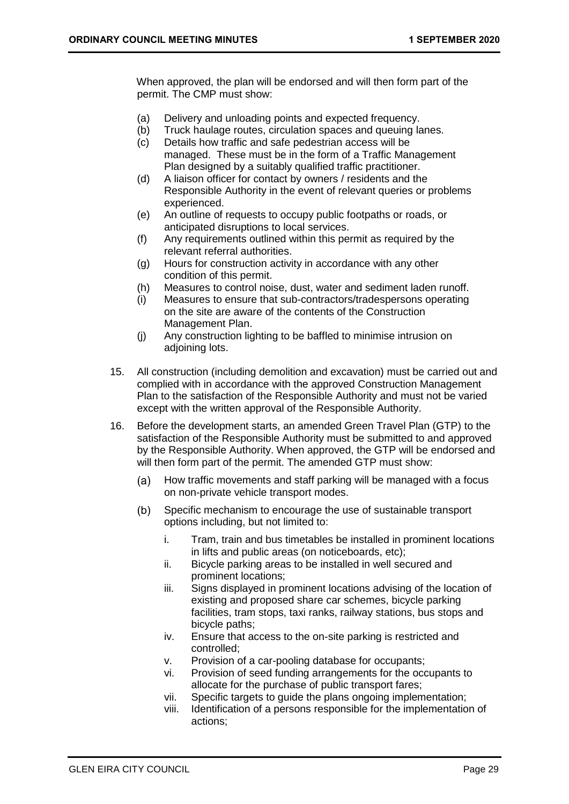When approved, the plan will be endorsed and will then form part of the permit. The CMP must show:

- (a) Delivery and unloading points and expected frequency.
- (b) Truck haulage routes, circulation spaces and queuing lanes.
- (c) Details how traffic and safe pedestrian access will be managed. These must be in the form of a Traffic Management Plan designed by a suitably qualified traffic practitioner.
- (d) A liaison officer for contact by owners / residents and the Responsible Authority in the event of relevant queries or problems experienced.
- (e) An outline of requests to occupy public footpaths or roads, or anticipated disruptions to local services.
- (f) Any requirements outlined within this permit as required by the relevant referral authorities.
- (g) Hours for construction activity in accordance with any other condition of this permit.
- (h) Measures to control noise, dust, water and sediment laden runoff.
- (i) Measures to ensure that sub-contractors/tradespersons operating on the site are aware of the contents of the Construction Management Plan.
- (j) Any construction lighting to be baffled to minimise intrusion on adjoining lots.
- 15. All construction (including demolition and excavation) must be carried out and complied with in accordance with the approved Construction Management Plan to the satisfaction of the Responsible Authority and must not be varied except with the written approval of the Responsible Authority.
- 16. Before the development starts, an amended Green Travel Plan (GTP) to the satisfaction of the Responsible Authority must be submitted to and approved by the Responsible Authority. When approved, the GTP will be endorsed and will then form part of the permit. The amended GTP must show:
	- $(a)$ How traffic movements and staff parking will be managed with a focus on non-private vehicle transport modes.
	- Specific mechanism to encourage the use of sustainable transport  $(b)$ options including, but not limited to:
		- i. Tram, train and bus timetables be installed in prominent locations in lifts and public areas (on noticeboards, etc);
		- ii. Bicycle parking areas to be installed in well secured and prominent locations;
		- iii. Signs displayed in prominent locations advising of the location of existing and proposed share car schemes, bicycle parking facilities, tram stops, taxi ranks, railway stations, bus stops and bicycle paths;
		- iv. Ensure that access to the on-site parking is restricted and controlled;
		- v. Provision of a car-pooling database for occupants;
		- vi. Provision of seed funding arrangements for the occupants to allocate for the purchase of public transport fares;
		- vii. Specific targets to guide the plans ongoing implementation;
		- viii. Identification of a persons responsible for the implementation of actions;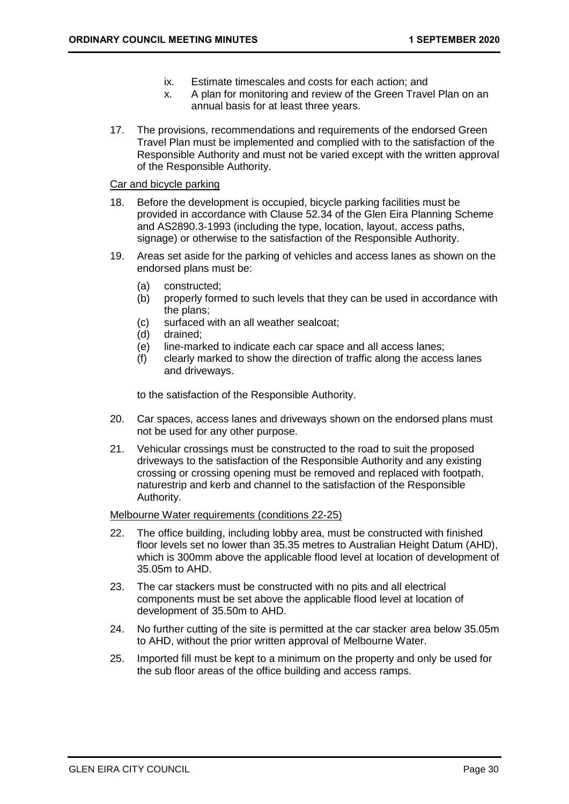- ix. Estimate timescales and costs for each action; and
- x. A plan for monitoring and review of the Green Travel Plan on an annual basis for at least three years.
- 17. The provisions, recommendations and requirements of the endorsed Green Travel Plan must be implemented and complied with to the satisfaction of the Responsible Authority and must not be varied except with the written approval of the Responsible Authority.

### Car and bicycle parking

- 18. Before the development is occupied, bicycle parking facilities must be provided in accordance with Clause 52.34 of the Glen Eira Planning Scheme and AS2890.3-1993 (including the type, location, layout, access paths, signage) or otherwise to the satisfaction of the Responsible Authority.
- 19. Areas set aside for the parking of vehicles and access lanes as shown on the endorsed plans must be:
	- (a) constructed;
	- (b) properly formed to such levels that they can be used in accordance with the plans;
	- (c) surfaced with an all weather sealcoat;
	- (d) drained;
	- (e) line-marked to indicate each car space and all access lanes;
	- (f) clearly marked to show the direction of traffic along the access lanes and driveways.

to the satisfaction of the Responsible Authority.

- 20. Car spaces, access lanes and driveways shown on the endorsed plans must not be used for any other purpose.
- 21. Vehicular crossings must be constructed to the road to suit the proposed driveways to the satisfaction of the Responsible Authority and any existing crossing or crossing opening must be removed and replaced with footpath, naturestrip and kerb and channel to the satisfaction of the Responsible Authority.

### Melbourne Water requirements (conditions 22-25)

- 22. The office building, including lobby area, must be constructed with finished floor levels set no lower than 35.35 metres to Australian Height Datum (AHD), which is 300mm above the applicable flood level at location of development of 35.05m to AHD.
- 23. The car stackers must be constructed with no pits and all electrical components must be set above the applicable flood level at location of development of 35.50m to AHD.
- 24. No further cutting of the site is permitted at the car stacker area below 35.05m to AHD, without the prior written approval of Melbourne Water.
- 25. Imported fill must be kept to a minimum on the property and only be used for the sub floor areas of the office building and access ramps.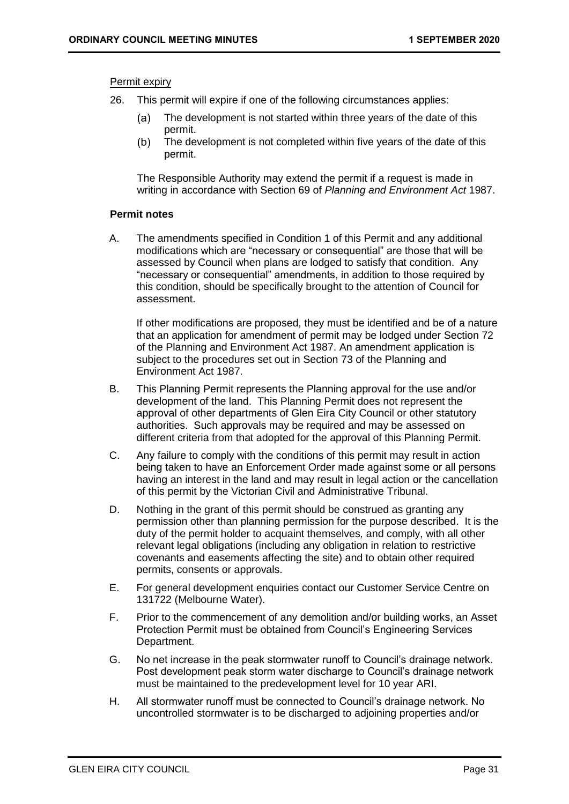### Permit expiry

- 26. This permit will expire if one of the following circumstances applies:
	- The development is not started within three years of the date of this  $(a)$ permit.
	- The development is not completed within five years of the date of this  $(b)$ permit.

The Responsible Authority may extend the permit if a request is made in writing in accordance with Section 69 of *Planning and Environment Act* 1987.

### **Permit notes**

A. The amendments specified in Condition 1 of this Permit and any additional modifications which are "necessary or consequential" are those that will be assessed by Council when plans are lodged to satisfy that condition. Any "necessary or consequential" amendments, in addition to those required by this condition, should be specifically brought to the attention of Council for assessment.

If other modifications are proposed, they must be identified and be of a nature that an application for amendment of permit may be lodged under Section 72 of the Planning and Environment Act 1987. An amendment application is subject to the procedures set out in Section 73 of the Planning and Environment Act 1987.

- B. This Planning Permit represents the Planning approval for the use and/or development of the land. This Planning Permit does not represent the approval of other departments of Glen Eira City Council or other statutory authorities. Such approvals may be required and may be assessed on different criteria from that adopted for the approval of this Planning Permit.
- C. Any failure to comply with the conditions of this permit may result in action being taken to have an Enforcement Order made against some or all persons having an interest in the land and may result in legal action or the cancellation of this permit by the Victorian Civil and Administrative Tribunal.
- D. Nothing in the grant of this permit should be construed as granting any permission other than planning permission for the purpose described. It is the duty of the permit holder to acquaint themselves*,* and comply, with all other relevant legal obligations (including any obligation in relation to restrictive covenants and easements affecting the site) and to obtain other required permits, consents or approvals.
- E. For general development enquiries contact our Customer Service Centre on 131722 (Melbourne Water).
- F. Prior to the commencement of any demolition and/or building works, an Asset Protection Permit must be obtained from Council's Engineering Services Department.
- G. No net increase in the peak stormwater runoff to Council's drainage network. Post development peak storm water discharge to Council's drainage network must be maintained to the predevelopment level for 10 year ARI.
- H. All stormwater runoff must be connected to Council's drainage network. No uncontrolled stormwater is to be discharged to adjoining properties and/or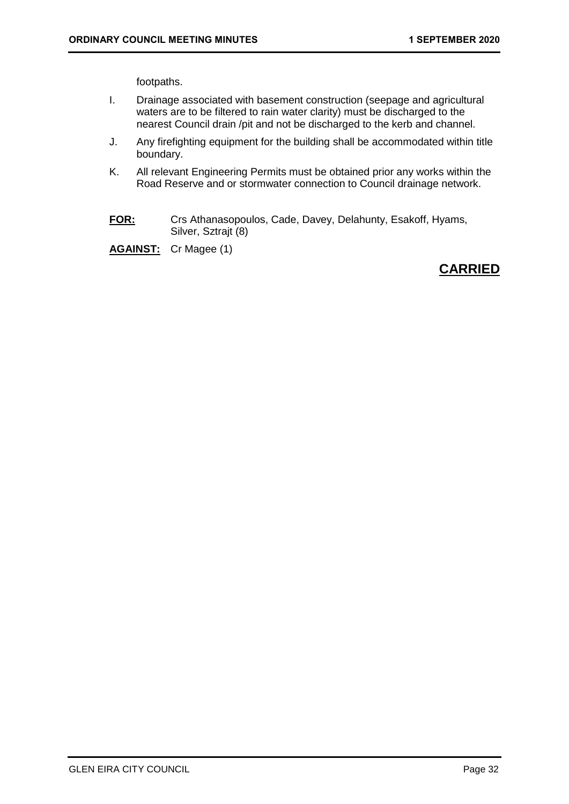footpaths.

- I. Drainage associated with basement construction (seepage and agricultural waters are to be filtered to rain water clarity) must be discharged to the nearest Council drain /pit and not be discharged to the kerb and channel.
- J. Any firefighting equipment for the building shall be accommodated within title boundary.
- K. All relevant Engineering Permits must be obtained prior any works within the Road Reserve and or stormwater connection to Council drainage network.
- **FOR:** Crs Athanasopoulos, Cade, Davey, Delahunty, Esakoff, Hyams, Silver, Sztrajt (8)

**AGAINST:** Cr Magee (1)

# **CARRIED**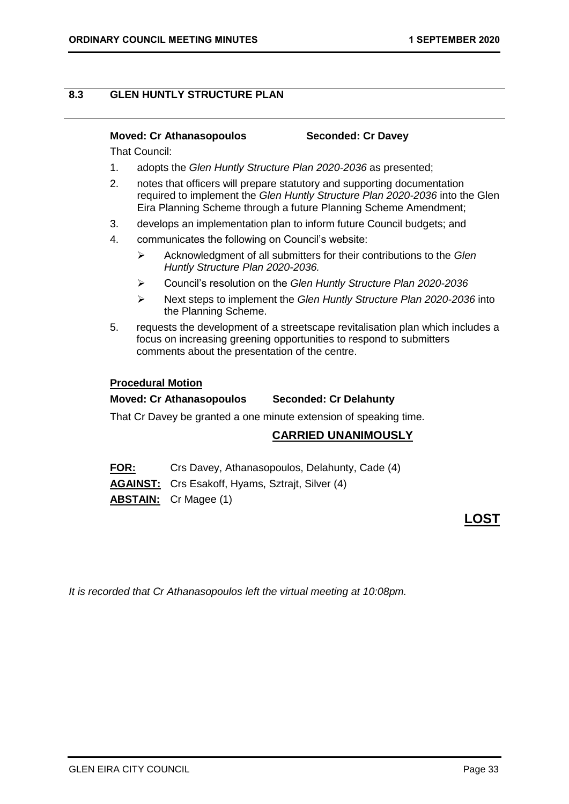### <span id="page-32-0"></span>**8.3 GLEN HUNTLY STRUCTURE PLAN**

### **Moved: Cr Athanasopoulos Seconded: Cr Davey**

That Council:

- 1. adopts the *Glen Huntly Structure Plan 2020-2036* as presented;
- 2. notes that officers will prepare statutory and supporting documentation required to implement the *Glen Huntly Structure Plan 2020-2036* into the Glen Eira Planning Scheme through a future Planning Scheme Amendment;
- 3. develops an implementation plan to inform future Council budgets; and
- 4. communicates the following on Council's website:
	- ➢ Acknowledgment of all submitters for their contributions to the *Glen Huntly Structure Plan 2020-2036.*
	- ➢ Council's resolution on the *Glen Huntly Structure Plan 2020-2036*
	- ➢ Next steps to implement the *Glen Huntly Structure Plan 2020-2036* into the Planning Scheme.
- 5. requests the development of a streetscape revitalisation plan which includes a focus on increasing greening opportunities to respond to submitters comments about the presentation of the centre.

### **Procedural Motion**

### **Moved: Cr Athanasopoulos Seconded: Cr Delahunty**

That Cr Davey be granted a one minute extension of speaking time.

### **CARRIED UNANIMOUSLY**

**FOR:** Crs Davey, Athanasopoulos, Delahunty, Cade (4)

**AGAINST:** Crs Esakoff, Hyams, Sztrajt, Silver (4)

**ABSTAIN:** Cr Magee (1)

# **LOST**

*It is recorded that Cr Athanasopoulos left the virtual meeting at 10:08pm.*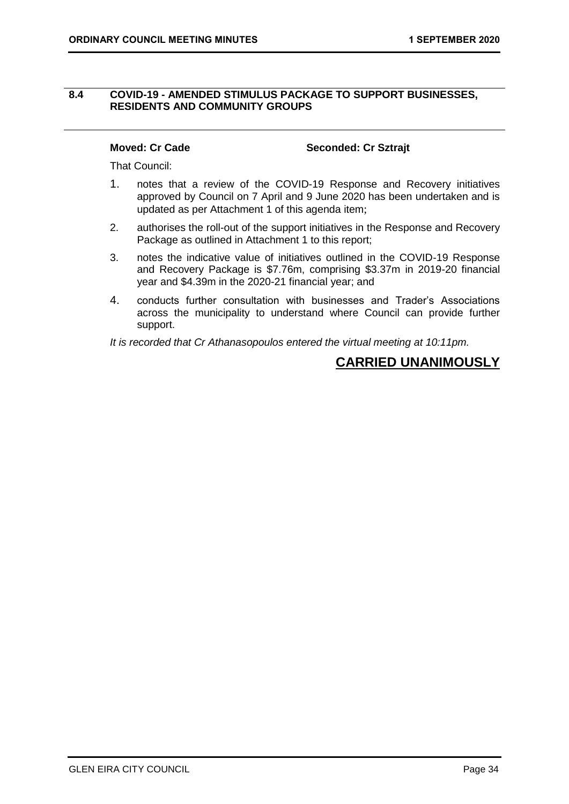### <span id="page-33-0"></span>**8.4 COVID-19 - AMENDED STIMULUS PACKAGE TO SUPPORT BUSINESSES, RESIDENTS AND COMMUNITY GROUPS**

### **Moved: Cr Cade Seconded: Cr Sztrajt**

That Council:

- 1. notes that a review of the COVID-19 Response and Recovery initiatives approved by Council on 7 April and 9 June 2020 has been undertaken and is updated as per Attachment 1 of this agenda item;
- 2. authorises the roll-out of the support initiatives in the Response and Recovery Package as outlined in Attachment 1 to this report;
- 3. notes the indicative value of initiatives outlined in the COVID-19 Response and Recovery Package is \$7.76m, comprising \$3.37m in 2019-20 financial year and \$4.39m in the 2020-21 financial year; and
- 4. conducts further consultation with businesses and Trader's Associations across the municipality to understand where Council can provide further support.

*It is recorded that Cr Athanasopoulos entered the virtual meeting at 10:11pm.*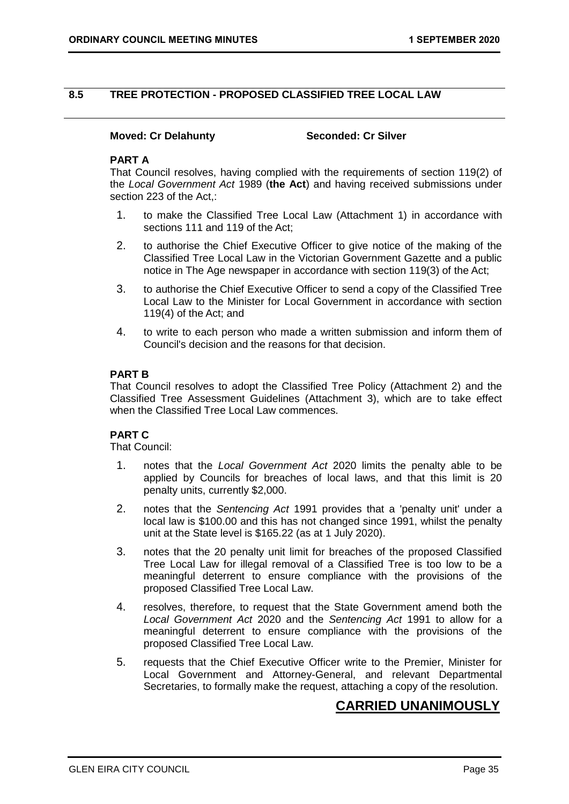### <span id="page-34-0"></span>**8.5 TREE PROTECTION - PROPOSED CLASSIFIED TREE LOCAL LAW**

### **Moved: Cr Delahunty Seconded: Cr Silver**

### **PART A**

That Council resolves, having complied with the requirements of section 119(2) of the *Local Government Act* 1989 (**the Act**) and having received submissions under section 223 of the Act.:

- 1. to make the Classified Tree Local Law (Attachment 1) in accordance with sections 111 and 119 of the Act;
- 2. to authorise the Chief Executive Officer to give notice of the making of the Classified Tree Local Law in the Victorian Government Gazette and a public notice in The Age newspaper in accordance with section 119(3) of the Act;
- 3. to authorise the Chief Executive Officer to send a copy of the Classified Tree Local Law to the Minister for Local Government in accordance with section 119(4) of the Act; and
- 4. to write to each person who made a written submission and inform them of Council's decision and the reasons for that decision.

### **PART B**

That Council resolves to adopt the Classified Tree Policy (Attachment 2) and the Classified Tree Assessment Guidelines (Attachment 3), which are to take effect when the Classified Tree Local Law commences.

### **PART C**

That Council:

- 1. notes that the *Local Government Act* 2020 limits the penalty able to be applied by Councils for breaches of local laws, and that this limit is 20 penalty units, currently \$2,000.
- 2. notes that the *Sentencing Act* 1991 provides that a 'penalty unit' under a local law is \$100.00 and this has not changed since 1991, whilst the penalty unit at the State level is \$165.22 (as at 1 July 2020).
- 3. notes that the 20 penalty unit limit for breaches of the proposed Classified Tree Local Law for illegal removal of a Classified Tree is too low to be a meaningful deterrent to ensure compliance with the provisions of the proposed Classified Tree Local Law.
- 4. resolves, therefore, to request that the State Government amend both the *Local Government Act* 2020 and the *Sentencing Act* 1991 to allow for a meaningful deterrent to ensure compliance with the provisions of the proposed Classified Tree Local Law.
- 5. requests that the Chief Executive Officer write to the Premier, Minister for Local Government and Attorney-General, and relevant Departmental Secretaries, to formally make the request, attaching a copy of the resolution.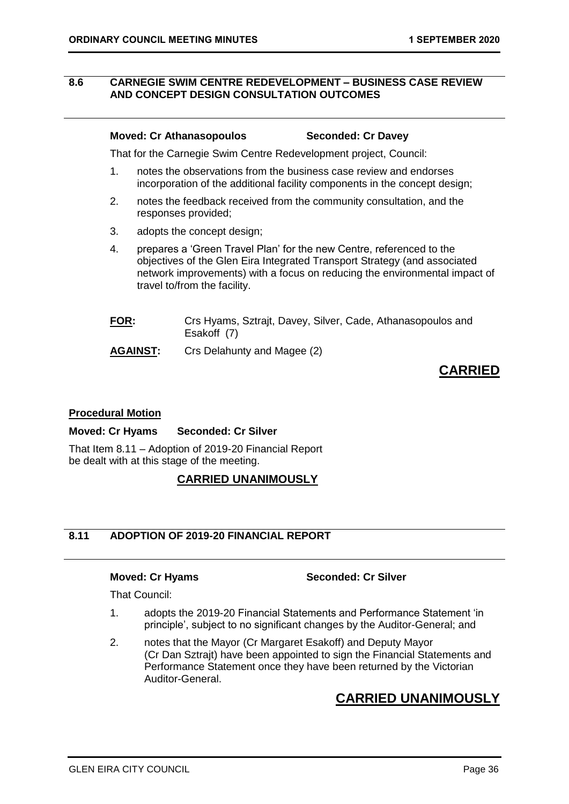### <span id="page-35-0"></span>**8.6 CARNEGIE SWIM CENTRE REDEVELOPMENT – BUSINESS CASE REVIEW AND CONCEPT DESIGN CONSULTATION OUTCOMES**

### **Moved: Cr Athanasopoulos Seconded: Cr Davey**

That for the Carnegie Swim Centre Redevelopment project, Council:

- 1. notes the observations from the business case review and endorses incorporation of the additional facility components in the concept design;
- 2. notes the feedback received from the community consultation, and the responses provided;
- 3. adopts the concept design;
- 4. prepares a 'Green Travel Plan' for the new Centre, referenced to the objectives of the Glen Eira Integrated Transport Strategy (and associated network improvements) with a focus on reducing the environmental impact of travel to/from the facility.
- **FOR:** Crs Hyams, Sztrajt, Davey, Silver, Cade, Athanasopoulos and Esakoff (7)

**AGAINST:** Crs Delahunty and Magee (2)

# **CARRIED**

### **Procedural Motion**

### **Moved: Cr Hyams Seconded: Cr Silver**

That Item 8.11 – Adoption of 2019-20 Financial Report be dealt with at this stage of the meeting.

### **CARRIED UNANIMOUSLY**

## **8.11 ADOPTION OF 2019-20 FINANCIAL REPORT**

**Moved: Cr Hyams Seconded: Cr Silver**

That Council:

- 1. adopts the 2019-20 Financial Statements and Performance Statement 'in principle', subject to no significant changes by the Auditor-General; and
- 2. notes that the Mayor (Cr Margaret Esakoff) and Deputy Mayor (Cr Dan Sztrajt) have been appointed to sign the Financial Statements and Performance Statement once they have been returned by the Victorian Auditor-General.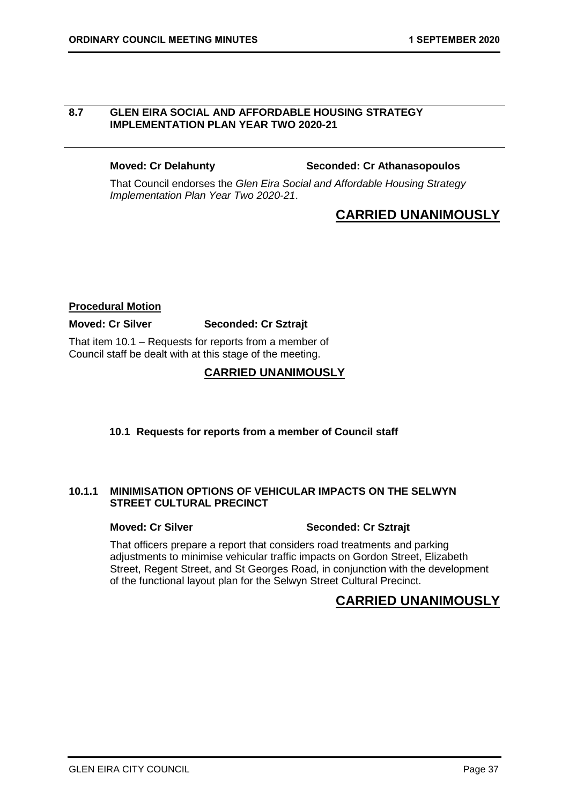### <span id="page-36-0"></span>**8.7 GLEN EIRA SOCIAL AND AFFORDABLE HOUSING STRATEGY IMPLEMENTATION PLAN YEAR TWO 2020-21**

### **Moved: Cr Delahunty Seconded: Cr Athanasopoulos**

That Council endorses the *Glen Eira Social and Affordable Housing Strategy Implementation Plan Year Two 2020-21*.

# **CARRIED UNANIMOUSLY**

### **Procedural Motion**

### **Moved: Cr Silver Seconded: Cr Sztrajt**

That item 10.1 – Requests for reports from a member of Council staff be dealt with at this stage of the meeting.

## **CARRIED UNANIMOUSLY**

### <span id="page-36-1"></span>**10.1 Requests for reports from a member of Council staff**

### **10.1.1 MINIMISATION OPTIONS OF VEHICULAR IMPACTS ON THE SELWYN STREET CULTURAL PRECINCT**

### **Moved: Cr Silver Seconded: Cr Sztrajt**

That officers prepare a report that considers road treatments and parking adjustments to minimise vehicular traffic impacts on Gordon Street, Elizabeth Street, Regent Street, and St Georges Road, in conjunction with the development of the functional layout plan for the Selwyn Street Cultural Precinct.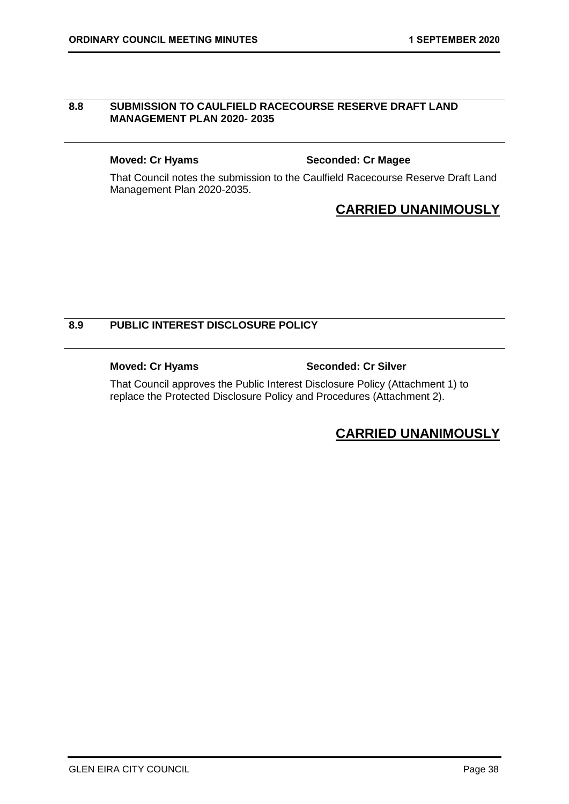### <span id="page-37-0"></span>**8.8 SUBMISSION TO CAULFIELD RACECOURSE RESERVE DRAFT LAND MANAGEMENT PLAN 2020- 2035**

### **Moved: Cr Hyams Seconded: Cr Magee**

That Council notes the submission to the Caulfield Racecourse Reserve Draft Land Management Plan 2020-2035.

# **CARRIED UNANIMOUSLY**

### **8.9 PUBLIC INTEREST DISCLOSURE POLICY**

**Moved: Cr Hyams Seconded: Cr Silver**

That Council approves the Public Interest Disclosure Policy (Attachment 1) to replace the Protected Disclosure Policy and Procedures (Attachment 2).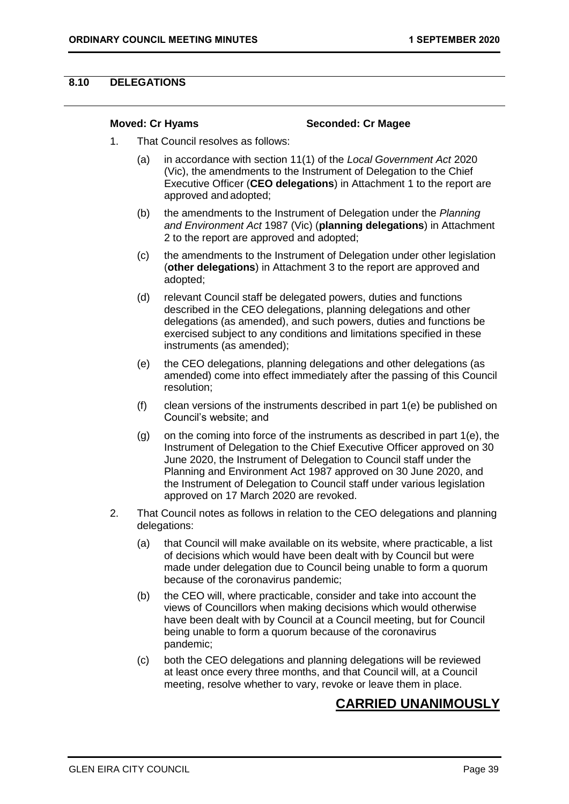### <span id="page-38-0"></span>**8.10 DELEGATIONS**

### **Moved: Cr Hyams Seconded: Cr Magee**

- 1. That Council resolves as follows:
	- (a) in accordance with section 11(1) of the *Local Government Act* 2020 (Vic), the amendments to the Instrument of Delegation to the Chief Executive Officer (**CEO delegations**) in Attachment 1 to the report are approved and adopted;
	- (b) the amendments to the Instrument of Delegation under the *Planning and Environment Act* 1987 (Vic) (**planning delegations**) in Attachment 2 to the report are approved and adopted;
	- (c) the amendments to the Instrument of Delegation under other legislation (**other delegations**) in Attachment 3 to the report are approved and adopted;
	- (d) relevant Council staff be delegated powers, duties and functions described in the CEO delegations, planning delegations and other delegations (as amended), and such powers, duties and functions be exercised subject to any conditions and limitations specified in these instruments (as amended);
	- (e) the CEO delegations, planning delegations and other delegations (as amended) come into effect immediately after the passing of this Council resolution;
	- (f) clean versions of the instruments described in part 1(e) be published on Council's website; and
	- (g) on the coming into force of the instruments as described in part 1(e), the Instrument of Delegation to the Chief Executive Officer approved on 30 June 2020, the Instrument of Delegation to Council staff under the Planning and Environment Act 1987 approved on 30 June 2020, and the Instrument of Delegation to Council staff under various legislation approved on 17 March 2020 are revoked.
- 2. That Council notes as follows in relation to the CEO delegations and planning delegations:
	- (a) that Council will make available on its website, where practicable, a list of decisions which would have been dealt with by Council but were made under delegation due to Council being unable to form a quorum because of the coronavirus pandemic;
	- (b) the CEO will, where practicable, consider and take into account the views of Councillors when making decisions which would otherwise have been dealt with by Council at a Council meeting, but for Council being unable to form a quorum because of the coronavirus pandemic;
	- (c) both the CEO delegations and planning delegations will be reviewed at least once every three months, and that Council will, at a Council meeting, resolve whether to vary, revoke or leave them in place.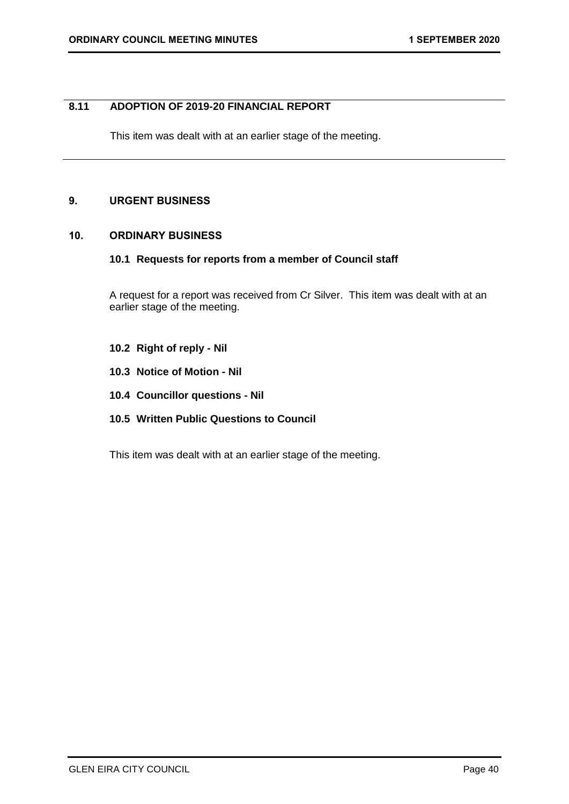### <span id="page-39-0"></span>**8.11 ADOPTION OF 2019-20 FINANCIAL REPORT**

This item was dealt with at an earlier stage of the meeting.

### <span id="page-39-1"></span>**9. URGENT BUSINESS**

### <span id="page-39-3"></span><span id="page-39-2"></span>**10. ORDINARY BUSINESS**

### **10.1 Requests for reports from a member of Council staff**

A request for a report was received from Cr Silver. This item was dealt with at an earlier stage of the meeting.

- <span id="page-39-5"></span><span id="page-39-4"></span>**10.2 Right of reply - Nil**
- **10.3 Notice of Motion - Nil**
- <span id="page-39-7"></span><span id="page-39-6"></span>**10.4 Councillor questions - Nil**
- **10.5 Written Public Questions to Council**

This item was dealt with at an earlier stage of the meeting.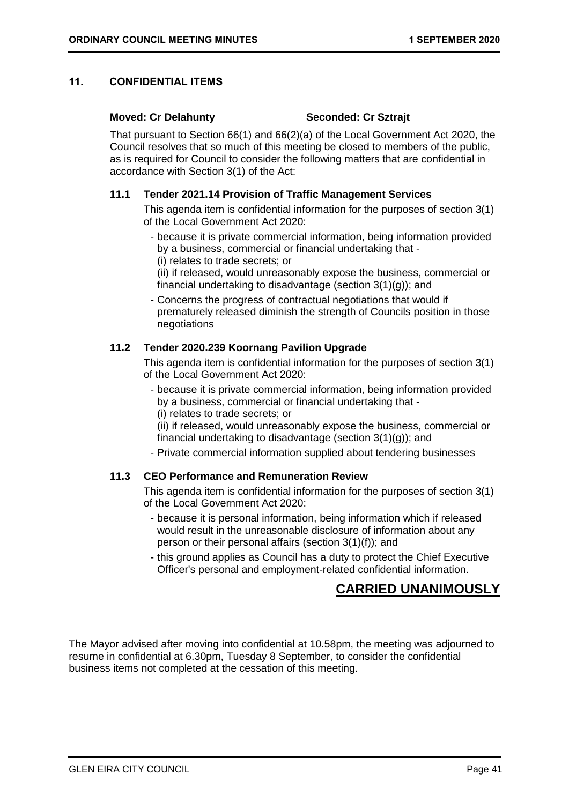### <span id="page-40-0"></span>**11. CONFIDENTIAL ITEMS**

### **Moved: Cr Delahunty Seconded: Cr Sztrajt**

That pursuant to Section 66(1) and 66(2)(a) of the Local Government Act 2020, the Council resolves that so much of this meeting be closed to members of the public, as is required for Council to consider the following matters that are confidential in accordance with Section 3(1) of the Act:

### **11.1 Tender 2021.14 Provision of Traffic Management Services**

This agenda item is confidential information for the purposes of section 3(1) of the Local Government Act 2020:

- because it is private commercial information, being information provided by a business, commercial or financial undertaking that - (i) relates to trade secrets; or

(ii) if released, would unreasonably expose the business, commercial or financial undertaking to disadvantage (section 3(1)(g)); and

- Concerns the progress of contractual negotiations that would if prematurely released diminish the strength of Councils position in those negotiations

### **11.2 Tender 2020.239 Koornang Pavilion Upgrade**

This agenda item is confidential information for the purposes of section 3(1) of the Local Government Act 2020:

- because it is private commercial information, being information provided by a business, commercial or financial undertaking that - (i) relates to trade secrets; or

(ii) if released, would unreasonably expose the business, commercial or financial undertaking to disadvantage (section 3(1)(g)); and

- Private commercial information supplied about tendering businesses

### **11.3 CEO Performance and Remuneration Review**

This agenda item is confidential information for the purposes of section 3(1) of the Local Government Act 2020:

- because it is personal information, being information which if released would result in the unreasonable disclosure of information about any person or their personal affairs (section 3(1)(f)); and
- this ground applies as Council has a duty to protect the Chief Executive Officer's personal and employment-related confidential information.

# **CARRIED UNANIMOUSLY**

The Mayor advised after moving into confidential at 10.58pm, the meeting was adjourned to resume in confidential at 6.30pm, Tuesday 8 September, to consider the confidential business items not completed at the cessation of this meeting.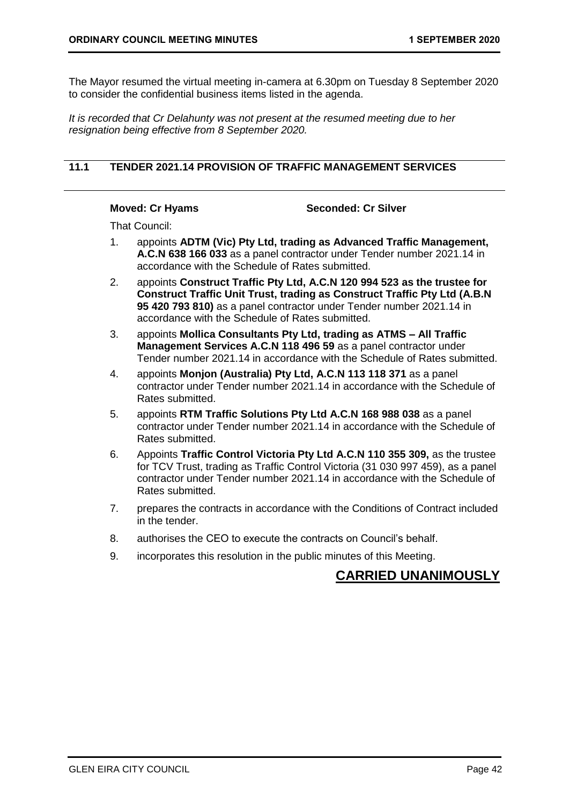<span id="page-41-0"></span>The Mayor resumed the virtual meeting in-camera at 6.30pm on Tuesday 8 September 2020 to consider the confidential business items listed in the agenda.

*It is recorded that Cr Delahunty was not present at the resumed meeting due to her resignation being effective from 8 September 2020.*

### **11.1 TENDER 2021.14 PROVISION OF TRAFFIC MANAGEMENT SERVICES**

### **Moved: Cr Hyams Seconded: Cr Silver**

That Council:

- 1. appoints **ADTM (Vic) Pty Ltd, trading as Advanced Traffic Management, A.C.N 638 166 033** as a panel contractor under Tender number 2021.14 in accordance with the Schedule of Rates submitted.
- 2. appoints **Construct Traffic Pty Ltd, A.C.N 120 994 523 as the trustee for Construct Traffic Unit Trust, trading as Construct Traffic Pty Ltd (A.B.N 95 420 793 810)** as a panel contractor under Tender number 2021.14 in accordance with the Schedule of Rates submitted.
- 3. appoints **Mollica Consultants Pty Ltd, trading as ATMS – All Traffic Management Services A.C.N 118 496 59** as a panel contractor under Tender number 2021.14 in accordance with the Schedule of Rates submitted.
- 4. appoints **Monjon (Australia) Pty Ltd, A.C.N 113 118 371** as a panel contractor under Tender number 2021.14 in accordance with the Schedule of Rates submitted.
- 5. appoints **RTM Traffic Solutions Pty Ltd A.C.N 168 988 038** as a panel contractor under Tender number 2021.14 in accordance with the Schedule of Rates submitted.
- 6. Appoints **Traffic Control Victoria Pty Ltd A.C.N 110 355 309,** as the trustee for TCV Trust, trading as Traffic Control Victoria (31 030 997 459), as a panel contractor under Tender number 2021.14 in accordance with the Schedule of Rates submitted.
- 7. prepares the contracts in accordance with the Conditions of Contract included in the tender.
- 8. authorises the CEO to execute the contracts on Council's behalf.
- 9. incorporates this resolution in the public minutes of this Meeting.